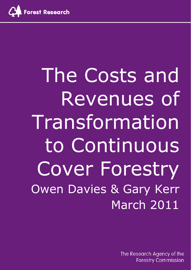

The Costs and Revenues of Transformation to Continuous Cover Forestry Owen Davies & Gary Kerr March 2011

> The Research Agency of the **Forestry Commission**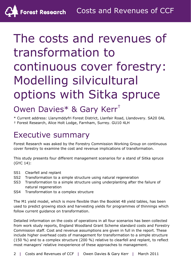# The costs and revenues of transformation to continuous cover forestry: Modelling silvicultural options with Sitka spruce

# Owen Davies\* & Gary Kerr†

\* Current address: Llanymddyfri Forest District, Llanfair Road, Llandovery. SA20 0AL † Forest Research, Alice Holt Lodge, Farnham, Surrey. GU10 4LH

# Executive summary

Forest Research was asked by the Forestry Commission Working Group on continuous cover forestry to examine the cost and revenue implications of transformation.

This study presents four different management scenarios for a stand of Sitka spruce (GYC 14):

- SS1 Clearfell and replant
- SS2 Transformation to a simple structure using natural regeneration
- SS3 Transformation to a simple structure using underplanting after the failure of natural regeneration
- SS4 Transformation to a complex structure

The M1 yield model, which is more flexible than the Booklet 48 yield tables, has been used to predict growing stock and harvesting yields for programmes of thinnings which follow current guidance on transformation.

Detailed information on the costs of operations in all four scenarios has been collected from work study reports, England Woodland Grant Scheme standard costs and Forestry Commission staff. Cost and revenue assumptions are given in full in the report. These include higher overhead costs of management for transformation to a simple structure (150 %) and to a complex structure (200 %) relative to clearfell and replant, to reflect most managers' relative inexperience of these approaches to management.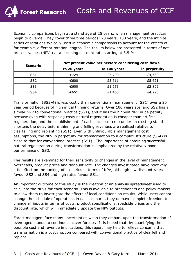Economic comparisons begin at a stand age of 25 years, when management practices begin to diverge. They cover three time periods; 20 years, 100 years, and the infinite series of rotations typically used in economic comparisons to account for the effects of, for example, different rotation lengths. The results below are presented in terms of net present values (NPVs) at a declining discount rate starting at 3.5 %.

| Scenario        | Net present value per hectare considering cash flows |              |               |  |  |
|-----------------|------------------------------------------------------|--------------|---------------|--|--|
|                 | to 20 years                                          | to 100 years | in perpetuity |  |  |
| SS <sub>1</sub> | -£724                                                | £3,790       | £4,689        |  |  |
| SS <sub>2</sub> | -£600                                                | £3,611       | £5,621        |  |  |
| SS <sub>3</sub> | -£600                                                | £1,653       | £2,802        |  |  |
| SS4             | -£651                                                | £1,465       | £4,293        |  |  |

Transformation (SS2-4) is less costly than conventional management (SS1) over a 20 year period because of high initial thinning returns. Over 100 years scenario SS2 has a similar NPV to conventional practice (SS1), and it has the highest NPV in perpetuity because even with respacing costs natural regeneration is cheaper than artificial regeneration, and the establishment of each successor crop under an existing stand shortens the delay before thinning and felling revenues are realised relative to clearfelling and replanting (SS1). Even with unfavourable management cost assumptions, the NPV in perpetuity for transformation to a complex structure (SS4) is close to that for conventional practice (SS1). The importance of obtaining successful natural regeneration during transformation is emphasized by the relatively poor performance of SS3.

The results are examined for their sensitivity to changes in the level of management overheads, product prices and discount rate. The changes investigated have relatively little effect on the ranking of scenarios in terms of NPV, although low discount rates favour SS2 and SS4 and high rates favour SS1.

An important outcome of this study is the creation of an analysis spreadsheet used to calculate the NPVs for each scenario. This is available to practitioners and policy makers to allow them to investigate the effects of local conditions on results. While users cannot change the schedule of operations in each scenario, they do have complete freedom to change all inputs in terms of costs, product specifications, roadside prices and the discount rate, which will immediately update the NPV outputs.

Forest managers face many uncertainties when they embark upon the transformation of even-aged stands to continuous cover forestry. It is hoped that, by quantifying the possible cost and revenue implications, this report may help to relieve concerns that transformation is a costly option compared with conventional practice of clearfell and replant.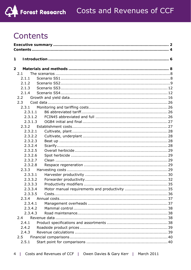

# Contents

| 1              |         |  |
|----------------|---------|--|
|                |         |  |
| $\overline{2}$ |         |  |
|                | 2.1     |  |
|                | 2.1.1   |  |
|                | 2.1.2   |  |
|                | 2.1.3   |  |
|                | 2.1.4   |  |
|                | 2.2     |  |
|                | 2.3     |  |
|                | 2.3.1   |  |
|                | 2.3.1.1 |  |
|                | 2.3.1.2 |  |
|                | 2.3.1.3 |  |
|                | 2.3.2   |  |
|                | 2.3.2.1 |  |
|                | 2.3.2.2 |  |
|                | 2.3.2.3 |  |
|                | 2.3.2.4 |  |
|                | 2.3.2.5 |  |
|                | 2.3.2.6 |  |
|                | 2.3.2.7 |  |
|                | 2.3.2.8 |  |
|                | 2.3.3   |  |
|                | 2.3.3.1 |  |
|                | 2.3.3.2 |  |
|                | 2.3.3.3 |  |
|                | 2.3.3.4 |  |
|                | 2.3.3.5 |  |
|                | 2.3.4   |  |
|                | 2.3.4.1 |  |
|                | 2.3.4.2 |  |
|                | 2.3.4.3 |  |
|                | 2.4     |  |
|                | 2.4.1   |  |
|                | 2.4.2   |  |
|                | 2.4.3   |  |
|                | 2.5     |  |
|                | 2.5.1   |  |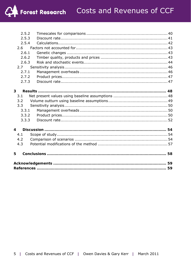|   | 2.5.2 |  |
|---|-------|--|
|   | 2.5.3 |  |
|   | 2.5.4 |  |
|   | 2.6   |  |
|   | 2.6.1 |  |
|   | 2.6.2 |  |
|   | 2.6.3 |  |
|   | 2.7   |  |
|   | 2.7.1 |  |
|   | 2.7.2 |  |
|   | 2.7.3 |  |
|   |       |  |
| 3 |       |  |
|   | 3.1   |  |
|   | 3.2   |  |
|   | 3.3   |  |
|   | 3.3.1 |  |
|   | 3.3.2 |  |
|   | 3.3.3 |  |
|   |       |  |
| 4 |       |  |
|   | 4.1   |  |
|   | 4.2   |  |
|   | 4.3   |  |
|   |       |  |
| 5 |       |  |
|   |       |  |
|   |       |  |
|   |       |  |
|   |       |  |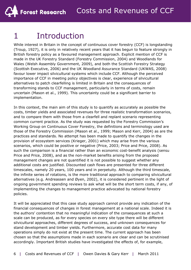# 1 Introduction

While interest in Britain in the concept of continuous cover forestry (CCF) is longstanding (Troup, 1927), it is only in relatively recent years that it has begun to feature strongly in British forestry policy as a favoured management approach. Explicit mention of CCF is made in the *UK Forestry Standard* (Forestry Commission, 2004) and *Woodlands for Wales* (Welsh Assembly Government, 2009), and both the *Scottish Forestry Strategy*  (Scottish Executive, 2006) and the *UK Woodland Assurance Standard* (UKWAS, 2008) favour lower impact silvicultural systems which include CCF. Although the perceived importance of CCF in meeting policy objectives is clear, experience of silvicultural alternatives to patch clearfelling is limited in Britain and the consequences of transforming stands to CCF management, particularly in terms of costs, remain uncertain (Mason *et al*., 1999). This uncertainty could be a significant barrier to implementation.

In this context, the main aim of this study is to quantify as accurately as possible the costs, timber yields and associated revenues for three realistic transformation scenarios, and to compare them with those from a clearfell and replant scenario representing common current practice. As the study was requested by the Forestry Commission's Working Group on Continuous Cover Forestry, the definitions and terminology used are those of the Forestry Commission (Mason *et al*., 1999; Mason and Kerr, 2004) as are the practices and standards. No attempt has been made to quantify the changes in the provision of ecosystem services (Krieger, 2001) which may arise from the various scenarios, which could be positive or negative (Price, 2003; Price and Price, 2008). As such the comparison is a financial rather than an economic cost-benefit analysis (*sensu* Price and Price, 2008), and as the non-market benefits arising from the proposed management changes are not quantified it is not possible to suggest whether any additional costs are justified. Discounted cash flows are presented for three different timescales, namely 20 years, 100 years and in perpetuity. Although the third timescale, the infinite series of rotations, is the more traditional approach to comparing silvicultural alternatives (e.g. Andreassen and Øyen, 2002), it is considered pertinent in the light of ongoing government spending reviews to ask what will be the short term costs, if any, of implementing the changes to management practice advocated by national forestry policies.

It will be appreciated that this case study approach cannot provide any indication of the financial consequences of changes in forest management at a national scale. Indeed it is the authors' contention that no meaningful indication of the consequences at such a scale can be produced, as for every species on every site type there will be different silvicultural approaches, different degrees of success, and unknown consequences for stand development and timber yields. Furthermore, accurate cost data for many operations simply do not exist at the present time. The current approach has been chosen so that the assumptions made in each scenario are clear and can be scrutinised accordingly. Important British studies have investigated the effects of, for example,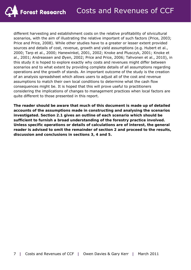different harvesting and establishment costs on the relative profitability of silvicultural scenarios, with the aim of illustrating the relative important of such factors (Price, 2003; Price and Price, 2008). While other studies have to a greater or lesser extent provided sources and details of cost, revenue, growth and yield assumptions (e.g. Hubert *et al*., 2000; Tarp *et al*., 2000; Hanewinkel, 2001, 2002; Knoke and Plusczyk, 2001; Knoke *et al*., 2001; Andreassen and Øyen, 2002; Price and Price, 2006; Tahvonen *et al*., 2010), in this study it is hoped to explore exactly why costs and revenues might differ between scenarios and to what extent by providing complete details of all assumptions regarding operations and the growth of stands. An important outcome of the study is the creation of an analysis spreadsheet which allows users to adjust all of the cost and revenue assumptions to match their own local conditions to determine what the cash flow consequences might be. It is hoped that this will prove useful to practitioners considering the implications of changes to management practices when local factors are quite different to those presented in this report.

**The reader should be aware that much of this document is made up of detailed accounts of the assumptions made in constructing and analysing the scenarios investigated. Section 2.1 gives an outline of each scenario which should be sufficient to furnish a broad understanding of the forestry practice involved. Unless specific operations or details of calculations are of interest, the general reader is advised to omit the remainder of section 2 and proceed to the results, discussion and conclusions in sections 3, 4 and 5.**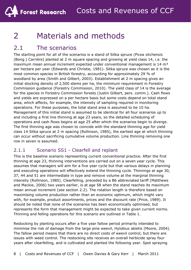# 2 Materials and methods

### 2.1 The scenarios

The starting point for all of the scenarios is a stand of Sitka spruce (*Picea sitchensis*  (Bong.) Carrière) planted at 2 m square spacing and growing at yield class 14, i.e. the maximum mean annual increment expected under conventional management is  $14 \text{ m}^3$ per hectare per year (Edwards and Christie, 1981). Sitka spruce was chosen as it is the most common species in British forestry, accounting for approximately 29 % of woodland by area (Smith and Gilbert, 2003). Establishment at 2 m spacing gives an initial stocking density of 2,500 stems per ha, the minimum requirement in Forestry Commission guidance (Forestry Commission, 2010). The yield class of 14 is the average for the species in Forestry Commission forests (Justin Gilbert, pers. comm.). Cash flows and yields are expressed on a per hectare basis but some costs depend on total stand area, which affects, for example, the intensity of sampling required in monitoring operations. For these purposes, the total stand area is assumed to be 10 ha. Management of this initial stand is assumed to be identical for all four scenarios up to and including a first line thinning at age 23 years, so the detailed scheduling of operations and cash flows begins at age 25 after which the scenarios begin to diverge. The first thinning age was chosen to coincide with the standard thinning age for yield class 14 Sitka spruce at 2 m spacing (Rollinson, 1985), the earliest age at which thinning can occur without sacrificing cumulative volume production. Line thinning removing one row in seven is assumed.

#### 2.1.1 Scenario SS1 - Clearfell and replant

This is the baseline scenario representing current conventional practice. After the first thinning at age 23, thinning interventions are carried out on a seven year cycle. This assumes that managers will aim for a five year cycle but that various delays in planning and executing operations will effectively extend the thinning cycle. Thinnings at age 30, 37, 44 and 51 are intermediate in type and remove volume at the marginal thinning intensity (Rollinson, 1985). Clearfelling, preceded by a B6 abbreviated tariff (Matthews and Mackie, 2006) two years earlier, is at age 58 when the stand reaches its maximum mean annual increment (see section 2.2). The rotation length is therefore based on maximising volume production rather than an economic optimum, which might vary with, for example, product assortments, prices and the discount rate (Price, 1989). It should be noted that none of the scenarios has been economically optimised, but represents the form that management might be expected to take given current norms. Thinning and felling operations for this scenario are outlined in Table 1.

Restocking by planting occurs after a five year fallow period primarily intended to minimise the risk of damage from the large pine weevil, *Hylobius abietis* (Moore, 2004). The fallow period means that there are no direct costs of weevil control, but there are issues with weed control. The restocking site receives an overall herbicide spray four years after clearfelling, and is cultivated and planted the following year. Spot spraying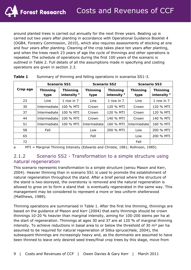around planted trees is carried out annually for the next three years. Beating up is carried out two years after planting in accordance with *Operational Guidance Booklet 4* (OGB4, Forestry Commission, 2010), which also requires assessments of stocking at one and four years after planting. Cleaning of the crop takes place ten years after planting, and when the trees reach 23 years of age the cycle of thinnings and other operations is repeated. The schedule of operations during the first 100 years of the scenario is outlined in Table 2. Full details of all the assumptions made in specifying and costing operations are given in section 2.3.

|          | <b>Scenario SS1</b>     |                                           |                         | <b>Scenario SS2</b>                       |                         | <b>Scenario SS3</b>                       |  |
|----------|-------------------------|-------------------------------------------|-------------------------|-------------------------------------------|-------------------------|-------------------------------------------|--|
| Crop age | <b>Thinning</b><br>type | <b>Thinning</b><br>intensity <sup>a</sup> | <b>Thinning</b><br>type | <b>Thinning</b><br>intensity <sup>a</sup> | <b>Thinning</b><br>type | <b>Thinning</b><br>intensity <sup>a</sup> |  |
| 23       | Line                    | 1 row in $7$                              | Line                    | 1 row in 7                                | Line                    | 1 row in 7                                |  |
| 30       | Intermediate            | 100 % MTI                                 | Crown                   | 120 % MTI                                 | Crown                   | 120 % MTI                                 |  |
| 37       | Intermediate            | 100 % MTI                                 | Crown                   | 120 % MTI                                 | Crown                   | 120 % MTI                                 |  |
| 44       | Intermediate            | 100 % MTI                                 | Crown                   | 140 % MTI                                 | Crown                   | 140 % MTI                                 |  |
| 51       | Intermediate            | 100 % MTI                                 | Intermediate            | 160 % MTI                                 | Intermediate            | 160 % MTI                                 |  |
| 58       | Fell                    |                                           | Low                     | 200 % MTI                                 | Low                     | 200 % MTI                                 |  |
| 65       |                         |                                           | Fell                    |                                           | Low                     | 200 % MTI                                 |  |
| 72       |                         |                                           |                         |                                           | Fell                    |                                           |  |

| Table 1 |  |  | Summary of thinning and felling operations in scenarios SS1-3. |
|---------|--|--|----------------------------------------------------------------|
|         |  |  |                                                                |

a MTI = Marginal Thinning Intensity (Edwards and Christie, 1981; Rollinson, 1985).

#### 2.1.2 Scenario SS2 - Transformation to a simple structure using natural regeneration

This scenario represents transformation to a simple structure (*sensu* Mason and Kerr, 2004). Heavier thinning than in scenario SS1 is used to promote the establishment of natural regeneration throughout the stand. After a brief period where the structure of the stand is two-storeyed, the overstorey is removed and the natural regeneration is allowed to grow on to form a stand that is eventually regenerated in the same way. This management may be considered to represent a more or less uniform shelterwood (Matthews, 1989).

Thinning operations are summarised in Table 1. After the first line thinning, thinnings are based on the guidance of Mason and Kerr (2004) that early thinnings should be crown thinnings 10-20 % heavier than marginal intensity, aiming for 100-200 stems per ha at the start of regeneration. Thinnings at ages 30 and 37 are at 120 % of marginal thinning intensity. To achieve reductions in basal area to or below the threshold of 30 m² per ha assumed to be required for natural regeneration of Sitka spruce(Hale, 2004), the subsequent thinnings are increasingly heavy and, as the dominants are assumed to have been thinned to leave only desired seed trees/final crop trees by this stage, move from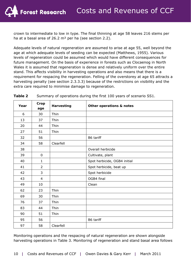crown to intermediate to low in type. The final thinning at age 58 leaves 216 stems per ha at a basal area of 26.2 m<sup>2</sup> per ha (see section 2.2).

Adequate levels of natural regeneration are assumed to arise at age 55, well beyond the age at which adequate levels of seeding can be expected (Matthews, 1955). Various levels of regeneration could be assumed which would have different consequences for future management. On the basis of experience in forests such as Clocaenog in North Wales it is assumed that regeneration is dense and relatively uniform over the entire stand. This affects visibility in harvesting operations and also means that there is a requirement for respacing the regeneration. Felling of the overstorey at age 65 attracts a harvesting penalty (see section 2.3.3.3) because of the restrictions on visibility and the extra care required to minimise damage to regeneration.

| Year | Crop<br>age    | <b>Harvesting</b> | Other operations & notes     |
|------|----------------|-------------------|------------------------------|
| 6    | 30             | Thin              |                              |
| 13   | 37             | Thin              |                              |
| 20   | 44             | Thin              |                              |
| 27   | 51             | Thin              |                              |
| 32   | 56             |                   | B6 tariff                    |
| 34   | 58             | Clearfell         |                              |
| 38   |                |                   | Overall herbicide            |
| 39   | $\pmb{0}$      |                   | Cultivate, plant             |
| 40   | 1              |                   | Spot herbicide, OGB4 initial |
| 41   | $\overline{2}$ |                   | Spot herbicide, beat up      |
| 42   | 3              |                   | Spot herbicide               |
| 43   | $\overline{4}$ |                   | OGB4 final                   |
| 49   | 10             |                   | Clean                        |
| 62   | 23             | Thin              |                              |
| 69   | 30             | Thin              |                              |
| 76   | 37             | Thin              |                              |
| 83   | 44             | Thin              |                              |
| 90   | 51             | Thin              |                              |
| 95   | 56             |                   | B6 tariff                    |
| 97   | 58             | Clearfell         |                              |

**Table 2** Summary of operations during the first 100 years of scenario SS1.

Monitoring operations and the respacing of natural regeneration are shown alongside harvesting operations in Table 3. Monitoring of regeneration and stand basal area follows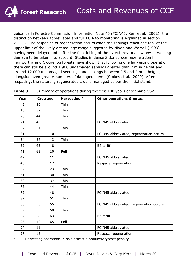guidance in *Forestry Commission Information Note 45* (FCIN45, Kerr *et al*., 2002); the distinction between abbreviated and full FCIN45 monitoring is explained in section 2.3.1.2. The respacing of regeneration occurs when the saplings reach age ten, at the upper limit of the likely optimal age range suggested by Nixon and Worrell (1999), having been delayed until after the final felling of the overstorey to allow any harvesting damage to be taken into account. Studies in dense Sitka spruce regeneration in Fernworthy and Clocaenog forests have shown that following one harvesting operation there can still be around 1,900 undamaged saplings greater than 2 m in height and around 12,000 undamaged seedlings and saplings between 0.5 and 2 m in height, alongside even greater numbers of damaged stems (Stokes *et al*., 2009). After respacing, the naturally regenerated crop is managed as per the initial stand.

| Year | Crop age    |                  | Harvesting <sup>a</sup> | Other operations & notes                |
|------|-------------|------------------|-------------------------|-----------------------------------------|
| 6    | 30          |                  | Thin                    |                                         |
| 13   | 37          |                  | Thin                    |                                         |
| 20   | 44          |                  | Thin                    |                                         |
| 24   | 48          |                  |                         | FCIN45 abbreviated                      |
| 27   | 51          |                  | Thin                    |                                         |
| 31   | 55          | $\boldsymbol{0}$ |                         | FCIN45 abbreviated, regeneration occurs |
| 34   | 58          | 3                | Thin                    |                                         |
| 39   | 63          | 8                |                         | B6 tariff                               |
| 41   | 65          | 10               | Fell                    |                                         |
| 42   |             | 11               |                         | FCIN45 abbreviated                      |
| 43   |             | 12               |                         | Respace regeneration                    |
| 54   |             | 23               | Thin                    |                                         |
| 61   |             | 30               | Thin                    |                                         |
| 68   |             | 37               | Thin                    |                                         |
| 75   |             | 44               | Thin                    |                                         |
| 79   |             | 48               |                         | FCIN45 abbreviated                      |
| 82   |             | 51               | Thin                    |                                         |
| 86   | $\mathbf 0$ | 55               |                         | FCIN45 abbreviated, regeneration occurs |
| 89   | 3           | 58               | Thin                    |                                         |
| 94   | 8           | 63               |                         | B6 tariff                               |
| 96   | 10          | 65               | Fell                    |                                         |
| 97   | 11          |                  |                         | FCIN45 abbreviated                      |
| 98   | 12          |                  |                         | Respace regeneration                    |

| <b>Table 3</b> |  |  | Summary of operations during the first 100 years of scenario SS2. |
|----------------|--|--|-------------------------------------------------------------------|
|                |  |  |                                                                   |

a Harvesting operations in bold attract a productivity/cost penalty.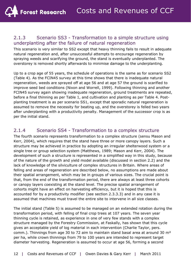#### 2.1.3 Scenario SS3 - Transformation to a simple structure using underplanting after the failure of natural regeneration

This scenario is very similar to SS2 except that heavy thinning fails to result in adequate natural regeneration and, after unsuccessful attempts to encourage regeneration by spraying weeds and scarifying the ground, the stand is eventually underplanted. The overstorey is removed shortly afterwards to minimise damage to the underplanting.

Up to a crop age of 55 years, the schedule of operations is the same as for scenario SS2 (Table 4). As the FCIN45 survey at this time shows that there is inadequate natural regeneration, weeds are sprayed off at age 56 and at age 57 the ground is scarified to improve seed bed conditions (Nixon and Worrell, 1999). Following thinning and another FCIN45 survey again showing inadequate regeneration, ground treatments are repeated, before a final thinning as per Table 1, and cultivation and planting as per Table 4. Postplanting treatment is as per scenario SS1, except that sporadic natural regeneration is assumed to remove the necessity for beating up, and the overstorey is felled two years after underplanting with a productivity penalty. Management of the successor crop is as per the initial stand.

#### 2.1.4 Scenario SS4 - Transformation to a complex structure

The fourth scenario represents transformation to a complex structure (*sensu* Mason and Kerr, 2004), which requires that the stand have three or more canopy layers. Such a structure may be achieved in practice by adopting an irregular shelterwood system or a single tree or group selection system (Matthews, 1989; Mason and Kerr, 2004). The development of such a structure is represented in a simplified way in this study, because of the nature of the growth and yield model available (discussed in section 2.2) and the lack of knowledge of the silviculture of complex structures in Britain. Where areas of felling and areas of regeneration are described below, no assumptions are made about their spatial arrangement, which may be in groups of various sizes. The crucial point is that, from the end of the transformation period, there are always at least three cohorts or canopy layers coexisting at the stand level. The precise spatial arrangement of cohorts might have an effect on harvesting efficiency, but it is hoped that this is accounted for by a productivity modifier (see section 2.3.3.3) and in any case it is assumed that machines must travel the entire site to intervene in all size classes.

The initial stand (Table 5) is assumed to be managed on an extended rotation during the transformation period, with felling of final crop trees at 107 years. The seven year thinning cycle is retained, as experience in one of very few stands with a complex structure managed by the Forestry Commission, at Faskally, has shown that this cycle gives an acceptable yield of log material in each intervention (Charlie Taylor, pers. comm.). Thinnings from age 30 to 72 aim to maintain stand basal area at around 30  $m<sup>2</sup>$ per ha, while crown thinnings from 79 to 100 years are intended to represent target diameter harvesting. Regeneration is assumed to occur at age 56, forming a second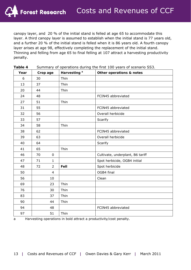canopy layer, and 20 % of the initial stand is felled at age 65 to accommodate this layer. A third canopy layer is assumed to establish when the initial stand is 77 years old, and a further 20 % of the initial stand is felled when it is 86 years old. A fourth canopy layer arises at age 98, effectively completing the replacement of the initial stand. Thinning and felling from age 65 to final felling at 107 attract a harvesting productivity penalty.

| Year | Crop age             | Harvesting <sup>a</sup> | Other operations & notes         |
|------|----------------------|-------------------------|----------------------------------|
| 6    | 30                   | Thin                    |                                  |
| 13   | 37                   | Thin                    |                                  |
| 20   | 44                   | Thin                    |                                  |
| 24   | 48                   |                         | FCIN45 abbreviated               |
| 27   | 51                   | Thin                    |                                  |
| 31   | 55                   |                         | FCIN45 abbreviated               |
| 32   | 56                   |                         | Overall herbicide                |
| 33   | 57                   |                         | Scarify                          |
| 34   | 58                   | Thin                    |                                  |
| 38   | 62                   |                         | FCIN45 abbreviated               |
| 39   | 63                   |                         | Overall herbicide                |
| 40   | 64                   |                         | Scarify                          |
| 41   | 65                   | Thin                    |                                  |
| 46   | 70<br>$\mathbf 0$    |                         | Cultivate, underplant, B6 tariff |
| 47   | 71<br>$\mathbf{1}$   |                         | Spot herbicide, OGB4 initial     |
| 48   | 72<br>$\overline{2}$ | Fell                    | Spot herbicide                   |
| 50   | $\overline{4}$       |                         | OGB4 final                       |
| 56   | 10                   |                         | Clean                            |
| 69   | 23                   | Thin                    |                                  |
| 76   | 30                   | Thin                    |                                  |
| 83   | 37                   | Thin                    |                                  |
| 90   | 44                   | Thin                    |                                  |
| 94   | 48                   |                         | FCIN45 abbreviated               |
| 97   | 51                   | Thin                    |                                  |

**Table 4** Summary of operations during the first 100 years of scenario SS3.

a Harvesting operations in bold attract a productivity/cost penalty.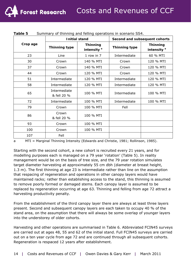|          |                             | <b>Initial stand</b>                      | Second and subsequent cohorts |                                           |  |
|----------|-----------------------------|-------------------------------------------|-------------------------------|-------------------------------------------|--|
| Crop age | <b>Thinning type</b>        | <b>Thinning</b><br>intensity <sup>a</sup> | <b>Thinning type</b>          | <b>Thinning</b><br>intensity <sup>a</sup> |  |
| 23       | Line                        | 1 row in 7                                | Intermediate                  | 60 % MTI                                  |  |
| 30       | Crown                       | 140 % MTI                                 | Crown                         | 120 % MTI                                 |  |
| 37       | Crown                       | 140 % MTI                                 | Crown                         | 120 % MTI                                 |  |
| 44       | Crown                       | 120 % MTI                                 | Crown                         | 120 % MTI                                 |  |
| 51       | Intermediate                | 120 % MTI                                 | Intermediate                  | 120 % MTI                                 |  |
| 58       | Intermediate                | 120 % MTI                                 | Intermediate                  | 120 % MTI                                 |  |
| 65       | Intermediate<br>& fell 20 % | 100 % MTI                                 | Intermediate                  | 100 % MTI                                 |  |
| 72       | Intermediate                | 100 % MTI                                 | Intermediate                  | 100 % MTI                                 |  |
| 79       | Crown                       | 100 % MTI                                 | Fell                          |                                           |  |
| 86       | Crown<br>& fell 20 %        | 100 % MTI                                 |                               |                                           |  |
| 93       | Crown                       | 100 % MTI                                 |                               |                                           |  |
| 100      | Crown                       | 100 % MTI                                 |                               |                                           |  |
| 107      | Fell                        |                                           |                               |                                           |  |

| Table 5 |  |  | Summary of thinning and felling operations in scenario SS4. |
|---------|--|--|-------------------------------------------------------------|
|         |  |  |                                                             |

**Forest Research** 

a MTI = Marginal Thinning Intensity (Edwards and Christie, 1981; Rollinson, 1985).

Starting with the second cohort, a new cohort is recruited every 21 years, and for modelling purposes each is managed on a 79 year 'rotation' (Table 5). In reality management would be on the basis of tree size, and the 79 year rotation simulates target diameter harvesting at approximately 55 cm dbh (diameter at breast height, 1.3 m). The first thinning at age 23 is intermediate rather than line on the assumption that respacing of regeneration and operations in other canopy layers would have maintained racks; rather than establishing access to the stand, this thinning is assumed to remove poorly formed or damaged stems. Each canopy layer is assumed to be replaced by regeneration occurring at age 63. Thinning and felling from age 72 attract a harvesting productivity penalty.

From the establishment of the third canopy layer there are always at least three layers present. Second and subsequent canopy layers are each taken to occupy 40 % of the stand area, on the assumption that there will always be some overlap of younger layers into the understorey of older cohorts.

Harvesting and other operations are summarised in Table 6. Abbreviated FCIN45 surveys are carried out at ages 48, 55 and 62 of the initial stand. Full FCIN45 surveys are carried out on a ten year cycle from age 72 and are continued through all subsequent cohorts. Regeneration is respaced 12 years after establishment.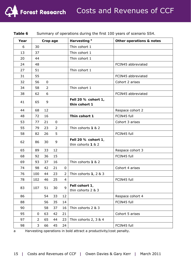| Year |                | Crop age       |                |                | Harvesting <sup>a</sup>                   | Other operations & notes |
|------|----------------|----------------|----------------|----------------|-------------------------------------------|--------------------------|
| 6    | 30             |                |                |                | Thin cohort 1                             |                          |
| 13   | 37             |                |                |                | Thin cohort 1                             |                          |
| 20   | 44             |                |                |                | Thin cohort 1                             |                          |
| 24   | 48             |                |                |                |                                           | FCIN45 abbreviated       |
| 27   | 51             |                |                |                | Thin cohort 1                             |                          |
| 31   | 55             |                |                |                |                                           | FCIN45 abbreviated       |
| 32   | 56             | $\pmb{0}$      |                |                |                                           | Cohort 2 arises          |
| 34   | 58             | $\overline{2}$ |                |                | Thin cohort 1                             |                          |
| 38   | 62             | 6              |                |                |                                           | FCIN45 abbreviated       |
| 41   | 65             | 9              |                |                | Fell 20 % cohort 1,<br>thin cohort 1      |                          |
| 44   | 68             | 12             |                |                |                                           | Respace cohort 2         |
| 48   | 72             | 16             |                |                | Thin cohort 1                             | FCIN45 full              |
| 53   | 77             | 21             | 0              |                |                                           | Cohort 3 arises          |
| 55   | 79             | 23             | $\overline{2}$ |                | Thin cohorts 1 & 2                        |                          |
| 58   | 82             | 26             | 5              |                |                                           | FCIN45 full              |
| 62   | 86             | 30             | 9              |                | Fell 20 % cohort 1,<br>thin cohorts 1 & 2 |                          |
| 65   | 89             | 33             | 12             |                |                                           | Respace cohort 3         |
| 68   | 92             | 36             | 15             |                |                                           | FCIN45 full              |
| 69   | 93             | 37             | 16             |                | Thin cohorts 1 & 2                        |                          |
| 74   | 98             | 42             | 21             | 0              |                                           | Cohort 4 arises          |
| 76   | 100            | 44             | 23             | 2              | Thin cohorts 1, 2 & 3                     |                          |
| 78   | 102            | 46             | 25             | $\overline{4}$ |                                           | FCIN45 full              |
| 83   | 107            | 51             | 30             | 9              | Fell cohort 1,<br>thin cohorts 2 & 3      |                          |
| 86   |                | 54             | 33             | 12             |                                           | Respace cohort 4         |
| 88   |                | 56             | 35             | 14             |                                           | FCIN45 full              |
| 90   |                | 58             | 37             | 16             | Thin cohorts 2 & 3                        |                          |
| 95   | 0              | 63             | 42             | 21             |                                           | Cohort 5 arises          |
| 97   | $\overline{2}$ | 65             | 44             | 23             | Thin cohorts 2, 3 & 4                     |                          |
| 98   | 3              | 66             | 45             | 24             |                                           | FCIN45 full              |

**Table 6** Summary of operations during the first 100 years of scenario SS4.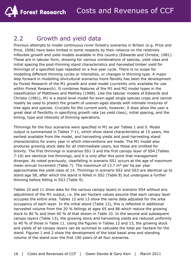### 2.2 Growth and yield data

Previous attempts to model continuous cover forestry scenarios in Britain (e.g. Price and Price, 2006) have been limited in some respects by their reliance on the relatively inflexible growth and yield models available in this country (Edwards and Christie, 1981). These are in tabular form, showing for various combinations of species, yield class and initial spacing the post-thinning stand characteristics and harvested timber yield for thinnings of a specified type repeated on a five year cycle. There is no scope for modelling different thinning cycles or intensities, or changes in thinning type. A major step forward in modelling silvicultural scenarios more flexibly has been the development by Forest Research of the M1 growth and yield model (currently only available for use within Forest Research). It combines features of the M1 and M2 model types in the classification of Matthews and Methley (1998). Like the tabular models of Edwards and Christie (1981), M1 is a stand level model for even-aged single species crops and cannot readily be used to predict the growth of uneven-aged stands with intimate mixtures of tree ages and species. Crucially for the current work, however, it does allow the user a great deal of flexibility in specifying growth rate (as yield class), initial spacing, and the timing, type and intensity of thinning operations.

Thinnings for the four scenarios were specified in M1 as per Tables 1 and 5. Model output is summarised in Tables 7-11, which show stand characteristics at 15 years, the earliest available from the model, and harvesting yields and post-harvesting stand characteristics for every year in which interventions are made. The M1 model also produces growing stock data for all intermediate years, but these are omitted for brevity. The first thinnings in scenarios SS1-3 and the first canopy layer of SS4 (Tables 7-10) are identical line thinnings, and it is only after this point that management diverges. As noted previously, clearfelling in scenario SS1 occurs at the age of maximum mean annual increment (Table 7). The maximum of 13.7  $m<sup>3</sup>$  per ha per year approximates the yield class of 14. Thinnings in scenario SS2 and SS3 are identical up to stand age 58, after which the stand is felled in SS2 (Table 8) but undergoes a further thinning before felling in SS3 (Table 9).

Tables 10 and 11 show data for the various canopy layers in scenario SS4 without any adjustment of the M1 output, i.e. the per hectare values assume that each canopy layer occupies the entire area. Tables 12 and 13 show the same data adjusted for the area occupancy of each layer. In the initial stand (Table 12), this is reflected in additional harvested volume from the 20 % fellings at ages 65 and 86 which reduce the growing stock to 80 % and then 60 % of that shown in Table 10. In the second and subsequent canopy layers (Table 13), the growing stock and harvesting yields are reduced uniformly to 40 % of those in Table 11. Using the figures in Tables 12 and 13, the growing stock and yields of all canopy layers can be summed to calculate the total per hectare for the stand. Figures 1 and 2 show the development of the total basal area and standing volume of the stand over the first 100 years of all four scenarios.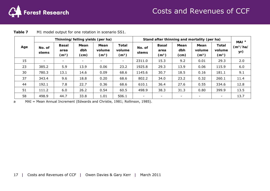

|     |                 |                                           | Thinning/felling yields (per ha) |                                     |                                             | Stand after thinning and mortality (per ha) | MAI <sup>a</sup>                          |                     |                                     |                                             |                             |
|-----|-----------------|-------------------------------------------|----------------------------------|-------------------------------------|---------------------------------------------|---------------------------------------------|-------------------------------------------|---------------------|-------------------------------------|---------------------------------------------|-----------------------------|
| Age | No. of<br>stems | <b>Basal</b><br>area<br>(m <sup>2</sup> ) | Mean<br>dbh<br>(cm)              | Mean<br>volume<br>(m <sup>3</sup> ) | <b>Total</b><br>volume<br>(m <sup>3</sup> ) | No. of<br>stems                             | <b>Basal</b><br>area<br>(m <sup>2</sup> ) | Mean<br>dbh<br>(cm) | Mean<br>volume<br>(m <sup>3</sup> ) | <b>Total</b><br>volume<br>(m <sup>3</sup> ) | (m <sup>3</sup> /ha/<br>yr) |
| 15  | ۰               | $\overline{\phantom{a}}$                  |                                  | $\overline{\phantom{0}}$            | $\sim$                                      | 2311.0                                      | 15.3                                      | 9.2                 | 0.01                                | 29.3                                        | 2.0                         |
| 23  | 385.2           | 5.9                                       | 13.9                             | 0.06                                | 23.2                                        | 1925.8                                      | 29.3                                      | 13.9                | 0.06                                | 115.9                                       | 6.0                         |
| 30  | 780.3           | 13.1                                      | 14.6                             | 0.09                                | 68.6                                        | 1145.6                                      | 30.7                                      | 18.5                | 0.16                                | 181.1                                       | 9.1                         |
| 37  | 343.4           | 9.6                                       | 18.8                             | 0.20                                | 68.6                                        | 802.2                                       | 34.0                                      | 23.2                | 0.32                                | 260.1                                       | 11.4                        |
| 44  | 192.1           | 7.8                                       | 22.7                             | 0.36                                | 68.6                                        | 610.1                                       | 36.4                                      | 27.6                | 0.55                                | 334.6                                       | 12.8                        |
| 51  | 111.2           | 6.0                                       | 26.2                             | 0.54                                | 60.5                                        | 498.9                                       | 38.3                                      | 31.3                | 0.80                                | 399.9                                       | 13.5                        |
| 58  | 498.9           | 44.7                                      | 33.8                             | 1.01                                | 506.1                                       |                                             | $\overline{\phantom{a}}$                  |                     | $\overline{\phantom{a}}$            | $\overline{\phantom{a}}$                    | 13.7                        |

| Table 7 | M1 model output for one rotation in scenario SS1. |  |  |  |
|---------|---------------------------------------------------|--|--|--|
|---------|---------------------------------------------------|--|--|--|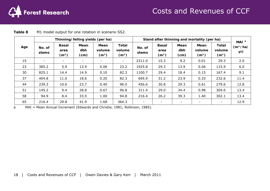

|     |                 |                                           |                          | Thinning/felling yields (per ha)    |                                             |                 |                                           |                          | Stand after thinning and mortality (per ha) |                                             | MAI <sup>a</sup>            |
|-----|-----------------|-------------------------------------------|--------------------------|-------------------------------------|---------------------------------------------|-----------------|-------------------------------------------|--------------------------|---------------------------------------------|---------------------------------------------|-----------------------------|
| Age | No. of<br>stems | <b>Basal</b><br>area<br>(m <sup>2</sup> ) | Mean<br>dbh<br>(cm)      | Mean<br>volume<br>(m <sup>3</sup> ) | <b>Total</b><br>volume<br>(m <sup>3</sup> ) | No. of<br>stems | <b>Basal</b><br>area<br>(m <sup>2</sup> ) | Mean<br>dbh<br>(cm)      | Mean<br>volume<br>(m <sup>3</sup> )         | <b>Total</b><br>volume<br>(m <sup>3</sup> ) | (m <sup>3</sup> /ha/<br>yr) |
| 15  | -               | $\overline{\phantom{a}}$                  | $\overline{\phantom{a}}$ | $\overline{\phantom{a}}$            | $\sim$                                      | 2311.0          | 15.3                                      | 9.2                      | 0.01                                        | 29.3                                        | 2.0                         |
| 23  | 385.2           | 5.9                                       | 13.9                     | 0.06                                | 23.2                                        | 1925.8          | 29.3                                      | 13.9                     | 0.06                                        | 115.9                                       | 6.0                         |
| 30  | 825.1           | 14.4                                      | 14.9                     | 0.10                                | 82.3                                        | 1100.7          | 29.4                                      | 18.4                     | 0.15                                        | 167.4                                       | 9.1                         |
| 37  | 404.8           | 11.0                                      | 18.6                     | 0.20                                | 82.3                                        | 695.9           | 31.2                                      | 23.9                     | 0.33                                        | 232.6                                       | 11.4                        |
| 44  | 239.3           | 10.6                                      | 23.7                     | 0.40                                | 96.0                                        | 456.6           | 30.8                                      | 29.3                     | 0.61                                        | 279.6                                       | 12.8                        |
| 51  | 145.2           | 9.4                                       | 28.8                     | 0.67                                | 96.8                                        | 311.4           | 29.0                                      | 34.4                     | 0.98                                        | 304.6                                       | 13.4                        |
| 58  | 94.9            | 8.4                                       | 33.5                     | 1.00                                | 94.8                                        | 216.4           | 26.2                                      | 39.3                     | 1.40                                        | 302.1                                       | 13.4                        |
| 65  | 216.4           | 29.8                                      | 41.9                     | 1.68                                | 364.3                                       |                 | $\overline{\phantom{0}}$                  | $\overline{\phantom{0}}$ | $\overline{\phantom{0}}$                    | $\overline{\phantom{a}}$                    | 12.9                        |

| Table 8 | M1 model output for one rotation in scenario SS2. |  |
|---------|---------------------------------------------------|--|
|---------|---------------------------------------------------|--|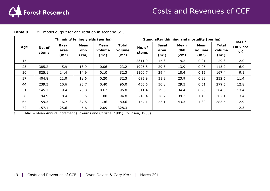

|     |                          |                                           |                          | Thinning/felling yields (per ha)    |                                             | Stand after thinning and mortality (per ha) | MAI <sup>a</sup>                          |                     |                                     |                                             |                             |
|-----|--------------------------|-------------------------------------------|--------------------------|-------------------------------------|---------------------------------------------|---------------------------------------------|-------------------------------------------|---------------------|-------------------------------------|---------------------------------------------|-----------------------------|
| Age | No. of<br>stems          | <b>Basal</b><br>area<br>(m <sup>2</sup> ) | Mean<br>dbh<br>(cm)      | Mean<br>volume<br>(m <sup>3</sup> ) | <b>Total</b><br>volume<br>(m <sup>3</sup> ) | No. of<br>stems                             | <b>Basal</b><br>area<br>(m <sup>2</sup> ) | Mean<br>dbh<br>(cm) | Mean<br>volume<br>(m <sup>3</sup> ) | <b>Total</b><br>volume<br>(m <sup>3</sup> ) | (m <sup>3</sup> /ha/<br>yr) |
| 15  | $\overline{\phantom{a}}$ | $\overline{\phantom{0}}$                  | $\overline{\phantom{a}}$ | $\overline{\phantom{a}}$            | $\sim$                                      | 2311.0                                      | 15.3                                      | 9.2                 | 0.01                                | 29.3                                        | 2.0                         |
| 23  | 385.2                    | 5.9                                       | 13.9                     | 0.06                                | 23.2                                        | 1925.8                                      | 29.3                                      | 13.9                | 0.06                                | 115.9                                       | 6.0                         |
| 30  | 825.1                    | 14.4                                      | 14.9                     | 0.10                                | 82.3                                        | 1100.7                                      | 29.4                                      | 18.4                | 0.15                                | 167.4                                       | 9.1                         |
| 37  | 404.8                    | 11.0                                      | 18.6                     | 0.20                                | 82.3                                        | 695.9                                       | 31.2                                      | 23.9                | 0.33                                | 232.6                                       | 11.4                        |
| 44  | 239.3                    | 10.6                                      | 23.7                     | 0.40                                | 96.0                                        | 456.6                                       | 30.8                                      | 29.3                | 0.61                                | 279.6                                       | 12.8                        |
| 51  | 145.2                    | 9.4                                       | 28.8                     | 0.67                                | 96.8                                        | 311.4                                       | 29.0                                      | 34.4                | 0.98                                | 304.6                                       | 13.4                        |
| 58  | 94.9                     | 8.4                                       | 33.5                     | 1.00                                | 94.8                                        | 216.4                                       | 26.2                                      | 39.3                | 1.40                                | 302.1                                       | 13.4                        |
| 65  | 59.3                     | 6.7                                       | 37.8                     | 1.36                                | 80.6                                        | 157.1                                       | 23.1                                      | 43.3                | 1.80                                | 283.6                                       | 12.9                        |
| 72  | 157.1                    | 25.6                                      | 45.6                     | 2.09                                | 328.3                                       | $\overline{\phantom{a}}$                    | $\overline{\phantom{a}}$                  | -                   | $\overline{\phantom{a}}$            | $\overline{\phantom{a}}$                    | 12.3                        |

| M1 model output for one rotation in scenario SS3.<br>Table 9 |  |
|--------------------------------------------------------------|--|
|--------------------------------------------------------------|--|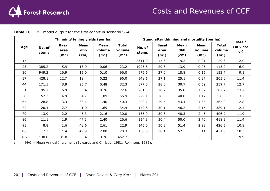

|     |                 |                                           | Thinning/felling yields (per ha) |                                     |                                             | Stand after thinning and mortality (per ha) | MAI <sup>a</sup>                          |                          |                                     |                                             |                             |
|-----|-----------------|-------------------------------------------|----------------------------------|-------------------------------------|---------------------------------------------|---------------------------------------------|-------------------------------------------|--------------------------|-------------------------------------|---------------------------------------------|-----------------------------|
| Age | No. of<br>stems | <b>Basal</b><br>area<br>(m <sup>2</sup> ) | Mean<br>dbh<br>(cm)              | Mean<br>volume<br>(m <sup>3</sup> ) | <b>Total</b><br>volume<br>(m <sup>3</sup> ) | No. of<br>stems                             | <b>Basal</b><br>area<br>(m <sup>2</sup> ) | Mean<br>dbh<br>(cm)      | Mean<br>volume<br>(m <sup>3</sup> ) | <b>Total</b><br>volume<br>(m <sup>3</sup> ) | (m <sup>3</sup> /ha/<br>yr) |
| 15  | ۰               | $\overline{\phantom{0}}$                  |                                  | $\overline{\phantom{a}}$            | $\sim$                                      | 2311.0                                      | 15.3                                      | 9.2                      | 0.01                                | 29.3                                        | 2.0                         |
| 23  | 385.2           | 5.9                                       | 13.9                             | 0.06                                | 23.2                                        | 1925.8                                      | 29.3                                      | 13.9                     | 0.06                                | 115.9                                       | 6.0                         |
| 30  | 949.2           | 16.9                                      | 15.0                             | 0.10                                | 96.0                                        | 976.6                                       | 27.0                                      | 18.8                     | 0.16                                | 153.7                                       | 9.1                         |
| 37  | 428.1           | 12.7                                      | 19.4                             | 0.22                                | 96.0                                        | 548.6                                       | 27.1                                      | 25.1                     | 0.37                                | 205.0                                       | 11.4                        |
| 44  | 171.5           | 8.9                                       | 25.7                             | 0.48                                | 82.3                                        | 377.0                                       | 28.0                                      | 30.7                     | 0.69                                | 259.7                                       | 12.7                        |
| 51  | 95.7            | 6.9                                       | 30.4                             | 0.76                                | 72.6                                        | 281.3                                       | 28.2                                      | 35.8                     | 1.07                                | 302.2                                       | 13.2                        |
| 58  | 52.3            | 4.9                                       | 34.7                             | 1.09                                | 56.9                                        | 229.1                                       | 28.8                                      | 40.0                     | 1.47                                | 336.8                                       | 13.2                        |
| 65  | 28.8            | 3.3                                       | 38.1                             | 1.40                                | 40.3                                        | 200.2                                       | 29.6                                      | 43.4                     | 1.83                                | 365.9                                       | 12.8                        |
| 72  | 20.4            | 2.7                                       | 41.0                             | 1.69                                | 34.4                                        | 179.8                                       | 30.1                                      | 46.2                     | 2.16                                | 389.1                                       | 12.4                        |
| 79  | 13.9            | 2.2                                       | 45.3                             | 2.16                                | 30.0                                        | 165.9                                       | 30.3                                      | 48.3                     | 2.45                                | 406.7                                       | 11.9                        |
| 86  | 11.1            | 1.9                                       | 47.1                             | 2.40                                | 26.6                                        | 154.8                                       | 30.4                                      | 50.0                     | 2.70                                | 418.3                                       | 11.4                        |
| 93  | 8.8             | 1.6                                       | 48.6                             | 2.61                                | 22.9                                        | 146.0                                       | 30.3                                      | 51.4                     | 2.92                                | 426.5                                       | 10.8                        |
| 100 | 7.3             | 1.4                                       | 49.9                             | 2.80                                | 20.3                                        | 138.8                                       | 30.1                                      | 52.5                     | 3.11                                | 431.8                                       | 10.3                        |
| 107 | 138.8           | 31.0                                      | 53.4                             | 3.26                                | 452.7                                       |                                             | $\overline{\phantom{a}}$                  | $\overline{\phantom{a}}$ | $\overline{\phantom{a}}$            | $\overline{\phantom{a}}$                    | 9.9                         |

| Table 10 | M1 model output for the first cohort in scenario SS4. |
|----------|-------------------------------------------------------|
|----------|-------------------------------------------------------|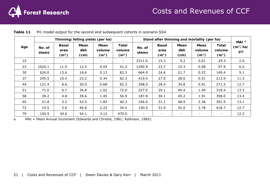

|     |                 |                                           | Thinning/felling yields (per ha) |                                     |                                             | Stand after thinning and mortality (per ha) | MAI <sup>a</sup>                          |                     |                                     |                                             |                             |
|-----|-----------------|-------------------------------------------|----------------------------------|-------------------------------------|---------------------------------------------|---------------------------------------------|-------------------------------------------|---------------------|-------------------------------------|---------------------------------------------|-----------------------------|
| Age | No. of<br>stems | <b>Basal</b><br>area<br>(m <sup>2</sup> ) | Mean<br>dbh<br>(cm)              | Mean<br>volume<br>(m <sup>3</sup> ) | <b>Total</b><br>volume<br>(m <sup>3</sup> ) | No. of<br>stems                             | <b>Basal</b><br>area<br>(m <sup>2</sup> ) | Mean<br>dbh<br>(cm) | Mean<br>volume<br>(m <sup>3</sup> ) | <b>Total</b><br>volume<br>(m <sup>3</sup> ) | (m <sup>3</sup> /ha/<br>yr) |
| 15  |                 | ۰                                         |                                  | $\overline{\phantom{a}}$            | $\overline{\phantom{a}}$                    | 2311.0                                      | 15.3                                      | 9.2                 | 0.01                                | 29.3                                        | 2.0                         |
| 23  | 1020.1          | 11.5                                      | 12.0                             | 0.04                                | 41.2                                        | 1290.9                                      | 23.7                                      | 15.3                | 0.08                                | 97.9                                        | 6.0                         |
| 30  | 626.0           | 13.6                                      | 16.6                             | 0.13                                | 82.3                                        | 664.9                                       | 24.6                                      | 21.7                | 0.22                                | 149.4                                       | 9.1                         |
| 37  | 245.5           | 10.4                                      | 23.2                             | 0.34                                | 82.3                                        | 419.4                                       | 27.0                                      | 28.6                | 0.51                                | 213.9                                       | 11.3                        |
| 44  | 121.4           | 8.6                                       | 30.0                             | 0.68                                | 82.3                                        | 298.0                                       | 28.4                                      | 34.8                | 0.91                                | 271.5                                       | 12.7                        |
| 51  | 71.0            | 6.7                                       | 34.8                             | 1.02                                | 72.6                                        | 227.0                                       | 29.1                                      | 40.4                | 1.40                                | 318.4                                       | 13.3                        |
| 58  | 39.2            | 4.8                                       | 39.6                             | 1.45                                | 56.9                                        | 187.8                                       | 30.1                                      | 45.2                | 1.91                                | 358.0                                       | 13.4                        |
| 65  | 21.8            | 3.2                                       | 43.5                             | 1.85                                | 40.3                                        | 166.0                                       | 31.1                                      | 48.9                | 2.36                                | 391.5                                       | 13.1                        |
| 72  | 15.5            | 2.6                                       | 46.6                             | 2.22                                | 34.4                                        | 150.5                                       | 31.9                                      | 52.0                | 2.78                                | 418.7                                       | 12.7                        |
| 79  | 150.5           | 34.6                                      | 54.1                             | 3.12                                | 470.0                                       |                                             |                                           |                     |                                     | $\overline{\phantom{a}}$                    | 12.2                        |

|  | <b>Table 11</b> M1 model output for the second and subsequent cohorts in scenario SS4. |  |  |  |
|--|----------------------------------------------------------------------------------------|--|--|--|
|--|----------------------------------------------------------------------------------------|--|--|--|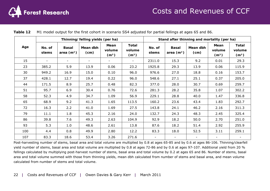

|     |                 |                             | Thinning/felling yields (per ha) |                                     |                                      |                 | Stand after thinning and mortality (per ha) |                          |                                     |                                             |
|-----|-----------------|-----------------------------|----------------------------------|-------------------------------------|--------------------------------------|-----------------|---------------------------------------------|--------------------------|-------------------------------------|---------------------------------------------|
| Age | No. of<br>stems | <b>Basal</b><br>area $(m2)$ | Mean dbh<br>(cm)                 | Mean<br>volume<br>(m <sup>3</sup> ) | Total<br>volume<br>(m <sup>3</sup> ) | No. of<br>stems | <b>Basal</b><br>area $(m2)$                 | Mean dbh<br>(cm)         | Mean<br>volume<br>(m <sup>3</sup> ) | <b>Total</b><br>volume<br>(m <sup>3</sup> ) |
| 15  |                 |                             |                                  |                                     |                                      | 2311.0          | 15.3                                        | 9.2                      | 0.01                                | 29.3                                        |
| 23  | 385.2           | 5.9                         | 13.9                             | 0.06                                | 23.2                                 | 1925.8          | 29.3                                        | 13.9                     | 0.06                                | 115.9                                       |
| 30  | 949.2           | 16.9                        | 15.0                             | 0.10                                | 96.0                                 | 976.6           | 27.0                                        | 18.8                     | 0.16                                | 153.7                                       |
| 37  | 428.1           | 12.7                        | 19.4                             | 0.22                                | 96.0                                 | 548.6           | 27.1                                        | 25.1                     | 0.37                                | 205.0                                       |
| 44  | 171.5           | 8.9                         | 25.7                             | 0.48                                | 82.3                                 | 377.0           | 28.0                                        | 30.7                     | 0.69                                | 259.7                                       |
| 51  | 95.7            | 6.9                         | 30.4                             | 0.76                                | 72.6                                 | 281.3           | 28.2                                        | 35.8                     | 1.07                                | 302.2                                       |
| 58  | 52.3            | 4.9                         | 34.7                             | 1.09                                | 56.9                                 | 229.1           | 28.8                                        | 40.0                     | 1.47                                | 336.8                                       |
| 65  | 68.9            | 9.2                         | 41.3                             | 1.65                                | 113.5                                | 160.2           | 23.6                                        | 43.4                     | 1.83                                | 292.7                                       |
| 72  | 16.3            | 2.2                         | 41.0                             | 1.69                                | 27.5                                 | 143.8           | 24.1                                        | 46.2                     | 2.16                                | 311.3                                       |
| 79  | 11.1            | 1.8                         | 45.3                             | 2.16                                | 24.0                                 | 132.7           | 24.3                                        | 48.3                     | 2.45                                | 325.4                                       |
| 86  | 39.8            | 7.6                         | 49.3                             | 2.63                                | 104.9                                | 92.9            | 18.2                                        | 50.0                     | 2.70                                | 251.0                                       |
| 93  | 5.3             | 1.0                         | 48.6                             | 2.61                                | 13.8                                 | 87.6            | 18.2                                        | 51.4                     | 2.92                                | 255.9                                       |
| 100 | 4.4             | 0.8                         | 49.9                             | 2.80                                | 12.2                                 | 83.3            | 18.0                                        | 52.5                     | 3.11                                | 259.1                                       |
| 107 | 83.3            | 18.6                        | 53.4                             | 3.26                                | 271.6                                |                 |                                             | $\overline{\phantom{a}}$ | ۰.                                  |                                             |

**Table 12** M1 model output for the first cohort in scenario SS4 adjusted for partial fellings at ages 65 and 86.

Post-harvesting number of stems, basal area and total volume are multiplied by 0.8 at ages 65-85 and by 0.6 at ages 86-106. Thinning/clearfell yield number of stems, basal area and total volume are multiplied by 0.8 at ages 72-86 and by 0.6 at ages 97-107. Additional yield from 20 % fellings calculated by multiplying post-harvest number of stems, basal area and total volume by 0.2 at ages 65 and 86. Number of stems, basal area and total volume summed with those from thinning yields, mean dbh calculated from number of stems and basal area, and mean volume calculated from number of stems and total volume.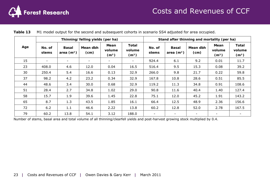

|     |                          |                             | Thinning/felling yields (per ha) |                                     |                                      | Stand after thinning and mortality (per ha) |                             |                          |                                     |                                      |  |  |
|-----|--------------------------|-----------------------------|----------------------------------|-------------------------------------|--------------------------------------|---------------------------------------------|-----------------------------|--------------------------|-------------------------------------|--------------------------------------|--|--|
| Age | No. of<br>stems          | <b>Basal</b><br>area $(m2)$ | Mean dbh<br>(cm)                 | Mean<br>volume<br>(m <sup>3</sup> ) | Total<br>volume<br>(m <sup>3</sup> ) | No. of<br>stems                             | <b>Basal</b><br>area $(m2)$ | Mean dbh<br>(cm)         | Mean<br>volume<br>(m <sup>3</sup> ) | Total<br>volume<br>(m <sup>3</sup> ) |  |  |
| 15  | $\overline{\phantom{a}}$ | -                           |                                  |                                     |                                      | 924.4                                       | 6.1                         | 9.2                      | 0.01                                | 11.7                                 |  |  |
| 23  | 408.0                    | 4.6                         | 12.0                             | 0.04                                | 16.5                                 | 516.4                                       | 9.5                         | 15.3                     | 0.08                                | 39.2                                 |  |  |
| 30  | 250.4                    | 5.4                         | 16.6                             | 0.13                                | 32.9                                 | 266.0                                       | 9.8                         | 21.7                     | 0.22                                | 59.8                                 |  |  |
| 37  | 98.2                     | 4.2                         | 23.2                             | 0.34                                | 32.9                                 | 167.8                                       | 10.8                        | 28.6                     | 0.51                                | 85.5                                 |  |  |
| 44  | 48.6                     | 3.4                         | 30.0                             | 0.68                                | 32.9                                 | 119.2                                       | 11.3                        | 34.8                     | 0.91                                | 108.6                                |  |  |
| 51  | 28.4                     | 2.7                         | 34.8                             | 1.02                                | 29.0                                 | 90.8                                        | 11.6                        | 40.4                     | 1.40                                | 127.4                                |  |  |
| 58  | 15.7                     | 1.9                         | 39.6                             | 1.45                                | 22.8                                 | 75.1                                        | 12.0                        | 45.2                     | 1.91                                | 143.2                                |  |  |
| 65  | 8.7                      | 1.3                         | 43.5                             | 1.85                                | 16.1                                 | 66.4                                        | 12.5                        | 48.9                     | 2.36                                | 156.6                                |  |  |
| 72  | 6.2                      | 1.1                         | 46.6                             | 2.22                                | 13.8                                 | 60.2                                        | 12.8                        | 52.0                     | 2.78                                | 167.5                                |  |  |
| 79  | 60.2                     | 13.8                        | 54.1                             | 3.12                                | 188.0                                | $\overline{\phantom{a}}$                    |                             | $\overline{\phantom{a}}$ |                                     |                                      |  |  |

|  | Table 13 M1 model output for the second and subsequent cohorts in scenario SS4 adjusted for area occupied. |  |
|--|------------------------------------------------------------------------------------------------------------|--|
|  |                                                                                                            |  |

Number of stems, basal area and total volume of all thinning/clearfell yields and post-harvest growing stock multiplied by 0.4.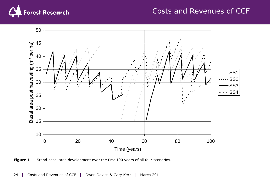

### Costs and Revenues of CCF



**Figure 1** Stand basal area development over the first 100 years of all four scenarios.

**|** Costs and Revenues of CCF **|** Owen Davies & Gary Kerr **|** March 2011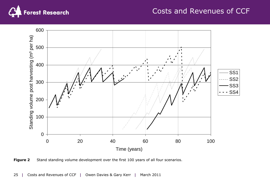

### Costs and Revenues of CCF





**|** Costs and Revenues of CCF **|** Owen Davies & Gary Kerr **|** March 2011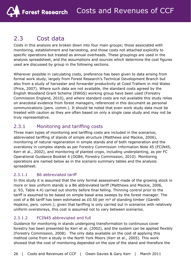### 2.3 Cost data

Costs in this analysis are broken down into four main groups; those associated with monitoring, establishment and harvesting, and those costs not attached explicitly to specific operations but treated as annual overheads. These groupings are used in the analysis spreadsheet, and the assumptions and sources which determine the cost figures used are discussed by group in the following sections.

Wherever possible in calculating costs, preference has been given to data arising from formal work study, largely from Forest Research's Technical Development Branch but also from a study of harvester and forwarder productivity at Coed Trallwm in mid Wales (Price, 2007). Where such data are not available, the standard costs agreed by the English Woodland Grant Scheme (EWGS) working group have been used (Forestry Commission England, 2010), and where standard costs are not available this study relies on anecdotal evidence from forest managers, referenced in this document as personal communications (pers. comm.). It should be noted that even work study data must be treated with caution as they are often based on only a single case study and may not be truly representative.

#### 2.3.1 Monitoring and tariffing costs

Three main types of monitoring and tariffing costs are included in the scenarios; abbreviated tariffing of stands of simple structure (Matthews and Mackie, 2006), monitoring of natural regeneration in simple stands and of both regeneration and the overstorey in complex stands as per *Forestry Commission Information Note 45* (FCIN45, Kerr *et al*., 2002), and monitoring of planted crops, including underplanting, as per FC *Operational Guidance Booklet 4* (OGB4, Forestry Commission, 2010). Monitoring operations are named below as in the scenario summary tables and the analysis spreadsheet.

#### 2.3.1.1 B6 abbreviated tariff

In this study it is assumed that the only formal assessment made of the growing stock in more or less uniform stands is a B6 abbreviated tariff (Matthews and Mackie, 2006, p. 93, Table 4.4) carried out shortly before final felling. Thinning control prior to the tariff is assumed to be based on simple basal area sweeps by the forest manager. The cost of a B6 tariff has been estimated as £0.50 per  $m<sup>3</sup>$  of standing timber (Gareth Hopkins, pers. comm.); given that tariffing is only carried out in scenarios with relatively uniform overstoreys, this cost is assumed not to vary between scenarios.

#### 2.3.1.2 FCIN45 abbreviated and full

Guidance for monitoring in stands undergoing transformation to continuous cover forestry has been presented by Kerr *et al*. (2002), and the system can be applied flexibly (Forestry Commission, 2008). The only data available on the cost of applying this method come from a study in the North York Moors (Kerr *et al*., 2005). This work showed that the cost of monitoring depended on the size of the stand and therefore the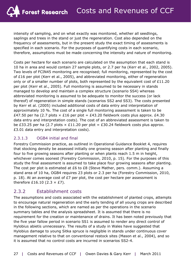intensity of sampling, and on what exactly was monitored, whether all seedlings, saplings and trees in the stand or just the regeneration. Cost also depended on the frequency of assessments, but in the present study the exact timing of assessments is specified in each scenario. For the purposes of quantifying costs in each scenario, therefore, assumptions must be made concerning the intensity and nature of monitoring.

Costs per hectare for each scenario are calculated on the assumption that each stand is 10 ha in area and would contain 27 sample plots, or 2.7 per ha (Kerr *et al*., 2002, 2005). Two levels of FCIN45 monitoring are recognised; full monitoring, represented by the cost of £16 per plot (Kerr *et al*., 2005), and abbreviated monitoring, either of regeneration only or of a smaller number of plots, both represented by the equivalent cost of £11.20 per plot (Kerr *et al*., 2005). Full monitoring is assumed to be necessary in stands managed to develop and maintain a complex structure (scenario SS4) whereas abbreviated monitoring is assumed to be adequate to monitor the success (or lack thereof) of regeneration in simple stands (scenarios SS2 and SS3). The costs presented by Kerr *et al*. (2005) included additional costs of data entry and interpretation of approximately 10 %. The cost of a single full monitoring assessment is taken to be £47.50 per ha (2.7 plots  $\times$  £16 per plot = £43.20 fieldwork costs plus approx. £4.30 data entry and interpretation costs). The cost of an abbreviated assessment is taken to be £33.25 per ha (2.7 plots  $\times$  £11.20 per plot = £30.24 fieldwork costs plus approx. £3.01 data entry and interpretation costs).

#### 2.3.1.3 OGB4 initial and final

Forestry Commission practice, as outlined in *Operational Guidance Booklet 4*, requires that stocking density be assessed initially one growing season after planting and finally four to five growing seasons after planting or when plants reach 1.5 m in height, whichever comes soonest (Forestry Commission, 2010, p. 15). For the purposes of this study the final assessment is assumed to take place four growing seasons after planting. The cost per plot is estimated at £6 to £8 (Steve Mather, pers. comm.). Assuming a stand area of 10 ha, OGB4 requires 23 plots or 2.3 per ha (Forestry Commission, 2010, p. 18). At an average cost of £7 per plot, the cost per hectare per assessment is therefore £16.10 (2.3  $\times$  £7).

#### 2.3.2 Establishment costs

The assumptions and costs associated with the establishment of planted crops, attempts to encourage natural regeneration and the early tending of all young crops are described in the following sections, which are named as per the operations in the scenario summary tables and the analysis spreadsheet. It is assumed that there is no requirement for the creation or maintenance of drains. It has been noted previously that the five year fallow period in scenario SS1 is assumed to render any direct control of *Hylobius abietis* unnecessary. The results of a study in Wales have suggested that *Hylobius* damage to young Sitka spruce is negligible in stands under continuous cover management relative to that on conventional restock sites (Mason *et al*., 2004), and so it is assumed that no control costs are incurred in scenarios SS2-4.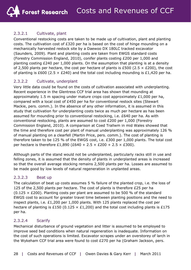#### 2.3.2.1 Cultivate, plant

Conventional restocking costs are taken to be made up of cultivation, plant and planting costs. The cultivation cost of  $£320$  per ha is based on the cost of hinge mounding on a mechanically harvested restock site by a Daewoo DX 180LC tracked excavator (Saunders, 2009). Plant and planting costs are taken from EWGS standard costs (Forestry Commission England, 2010), conifer plants costing £200 per 1,000 and planting costing £240 per 1,000 plants. On the assumption that planting is at a density of 2,500 plants per hectare, the cost per hectare of plants is £500 (2.5  $\times$  £200), the cost of planting is £600 (2.5  $\times$  £240) and the total cost including mounding is £1,420 per ha.

#### 2.3.2.2 Cultivate, underplant

Very little data could be found on the costs of cultivation associated with underplanting. Recent experience in the Glentress CCF trial area has shown that mounding at approximately 1.5 m spacing under mature crops cost approximately  $£1,000$  per ha, compared with a local cost of £450 per ha for conventional restock sites (Stewart Mackie, pers. comm.). In the absence of any other information, it is assumed in this study that cultivation for underplanting costs twice as much per hectare as has been assumed for mounding prior to conventional restocking, i.e. £640 per ha. As with conventional restocking, plants are assumed to cost £200 per 1,000 (Forestry Commission England, 2010). A comparison at Coed Trallwm in mid Wales showed that the time and therefore cost per plant of manual underplanting was approximately 126 % of manual planting on a clearfell (Martin Price, pers. comm.). The cost of planting is therefore taken to be 125 % of the EWGS cost, i.e. £300 per 1,000 plants. The total cost per hectare is therefore £1,890 (£640 + 2.5  $\times$  £200 + 2.5  $\times$  £300).

Although parts of the stand would not be underplanted, particularly racks still in use and felling zones, it is assumed that the density of plants in underplanted areas is increased so that the overall average stocking remains 2,500 plants per ha. Losses are assumed to be made good by low levels of natural regeneration in unplanted areas.

#### 2.3.2.3 Beat up

The calculation of beat up costs assumes 5 % failure of the planted crop, i.e. the loss of 125 of the 2,500 plants per hectare. The cost of plants is therefore £25 per ha (0.125  $\times$  £200). Planting costs per plant are assumed to be 500 % of the standard EWGS cost to account for greater travel time between planting positions and the need to inspect plants, i.e. £1,200 per 1,000 plants. With 125 plants replaced the cost per hectare of planting is £150 (0.125  $\times$  £1,200) and the total cost including plants is £175 per ha.

#### 2.3.2.4 Scarify

Mechanical disturbance of ground vegetation and litter is assumed to be employed to improve seed bed conditions when natural regeneration is inadequate. Information on the cost of such operations is limited. Excavator scrapes under an overstorey of larch in the Wykeham CCF trial area were found to cost £270 per ha (Graham Jackson, pers.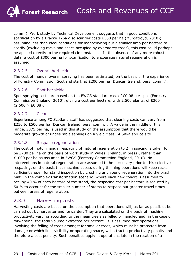comm.). Work study by Technical Development suggests that in good conditions scarification by a Bracke T26a disc scarifier costs £300 per ha (Murgatroyd, 2010); assuming less than ideal conditions for manoeuvring but a smaller area per hectare to scarify (excluding racks and space occupied by overstorey trees), this cost could perhaps be applied directly to the required circumstances. In the absence of any more robust data, a cost of £300 per ha for scarification to encourage natural regeneration is assumed.

#### 2.3.2.5 Overall herbicide

The cost of manual overall spraying has been estimated, on the basis of the experience of Forestry Commission Scotland staff, at £200 per ha (Duncan Ireland, pers. comm.).

#### 2.3.2.6 Spot herbicide

Spot spraying costs are based on the EWGS standard cost of £0.08 per spot (Forestry Commission England, 2010), giving a cost per hectare, with 2,500 plants, of £200  $(2,500 \times £0.08)$ .

#### 2.3.2.7 Clean

Experience among FC Scotland staff has suggested that cleaning costs can vary from £250 to £500 per ha (Duncan Ireland, pers. comm.). A value in the middle of this range, £375 per ha, is used in this study on the assumption that there would be moderate growth of undesirable saplings on a yield class 14 Sitka spruce site.

#### 2.3.2.8 Respace regeneration

The cost of motor manual respacing of natural regeneration to 2 m spacing is taken to be £700 per ha on the basis of work study in Wales (Ireland, in press), rather than £1000 per ha as assumed in EWGS (Forestry Commission England, 2010). No interventions in natural regeneration are assumed to be necessary prior to this selective respacing, on the basis that machine access during thinning operations will keep racks sufficiently open for stand inspection by crushing any young regeneration into the brash mat. In the complex transformation scenario, where each new cohort is assumed to occupy 40 % of each hectare of the stand, the respacing cost per hectare is reduced by 50 % to account for the smaller number of stems to respace but greater travel times between areas of regeneration.

#### 2.3.3 Harvesting costs

Harvesting costs are based on the assumption that operations will, as far as possible, be carried out by harvester and forwarder. They are calculated on the basis of machine productivity varying according to the mean tree size felled or handled and, in the case of forwarding, the total volume extracted per hectare. It is assumed that operations involving the felling of trees amongst far smaller trees, which must be protected from damage or which limit visibility or operating space, will attract a productivity penalty and therefore a cost penalty. Such penalties apply in operations late in the rotation of a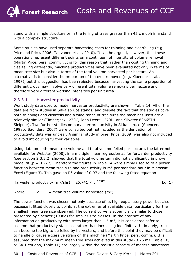stand with a simple structure or in the felling of trees greater than 45 cm dbh in a stand with a complex structure.

Some studies have used separate harvesting costs for thinning and clearfelling (e.g. Price and Price, 2006; Tahvonen *et al*., 2010). It can be argued, however, that these operations represent different points on a continuum of intensity of volume removal (Martin Price, pers. comm.). It is for this reason that, rather than costing thinning and clearfelling differently, machine productivities have been evaluated not only in terms of mean tree size but also in terms of the total volume harvested per hectare. An alternative is to consider the proportion of the crop removed (e.g. Kluender *et al*., 1998), but this suggestion has been rejected because harvesting the same proportion of different crops may involve very different total volume removals per hectare and therefore very different working intensities per unit area.

#### 2.3.3.1 Harvester productivity

Work study data used to model harvester productivity are shown in Table 14. All of the data are from studies in Sitka spruce stands, and despite the fact that the studies cover both thinnings and clearfells and a wide range of tree sizes the machines used are all relatively similar (Timberjack 1270C, John Deere 1270D, and Silvatec 82665TH Sleipner). Two further studies on harvester productivity in Sitka spruce (Spencer, 1998b; Saunders, 2007) were consulted but not included as the derivation of productivity data was unclear. A similar study in pine (Price, 2009) was also not included to avoid introducing further variables.

Using data on both mean tree volume and total volume felled per hectare, the latter not available for Webster (2008), in a multiple linear regression as for forwarder productivity (see section 2.3.3.2) showed that the total volume term did not significantly improve model fit ( $p = 0.277$ ). Therefore the figures in Table 14 were simply used to fit a power function between mean tree size and productivity in  $m<sup>3</sup>$  per standard hour in Microsoft Excel (Figure 3). This gave an R² value of 0.97 and the following fitted equation:

Harvester productivity  $(m^3/shr) = 25.741 \times v^{0.8517}$  (Eq. 1)

where  $v =$  mean tree volume harvested  $(m<sup>3</sup>)$ 

The power function was chosen not only because of its high explanatory power but also because it fitted closely to points at the extremes of available data, particularly for the smallest mean tree size observed. The current curve is superficially similar to those presented by Spencer (1998a) for smaller size classes. In the absence of any information on productivity with trees larger than  $1.5 \text{ m}^3$ , it is considered safer to assume that productivity stabilises rather than increasing indefinitely. Ultimately, trees can become too big to be felled by harvesters, and before this point they may be difficult to handle or cause excessive strain on the machine (Martin Price, pers. comm.). It is assumed that the maximum mean tree sizes achieved in this study  $(3.26 \text{ m}^3, 7$ able 10, or 54.1 cm dbh, Table 11) are largely within the realistic capacity of modern harvesters,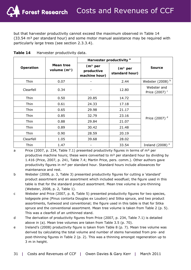but that harvester productivity cannot exceed the maximum observed in Table 14  $(33.54 \text{ m}^3 \text{ per standard hour})$  and some motor manual assistance may be required with particularly large trees (see section 2.3.3.4).

|              |                             |                                          | Harvester productivity <sup>a</sup>   |                                          |
|--------------|-----------------------------|------------------------------------------|---------------------------------------|------------------------------------------|
| Operation    | Mean tree<br>volume $(m^3)$ | $(m3$ per<br>productive<br>machine hour) | (m <sup>3</sup> per<br>standard hour) | <b>Source</b>                            |
| Thin         | 0.07                        |                                          | 2.44                                  | Webster $(2008)^b$                       |
| Clearfell    | 0.34                        |                                          | 12.80                                 | Webster and<br>Price (2007) <sup>c</sup> |
| Thin         | 0.50                        | 20.85                                    | 14.72                                 |                                          |
| Thin         | 0.61                        | 24.33                                    | 17.18                                 |                                          |
| Thin<br>0.65 |                             | 29.98                                    | 21.17                                 |                                          |
| Thin         | 0.85                        | 32.79                                    | 23.16                                 | Price (2007) <sup>d</sup>                |
| Thin         | 0.88                        | 29.84                                    | 21.07                                 |                                          |
| Thin         | 0.89                        | 30.42                                    | 21.48                                 |                                          |
| 0.90<br>Thin |                             | 28.59                                    | 20.19                                 |                                          |
| Clearfell    | 1.05                        | 39.68                                    | 28.02                                 |                                          |
| Thin         | 1.47                        |                                          | 33.54                                 | Ireland (2008) $e$                       |

**Table 14** Harvester productivity data.

- a Price (2007, p. 234, Table 7.1) presented productivity figures in terms of  $m<sup>3</sup>$  per productive machine hours; these were converted to  $m<sup>3</sup>$  per standard hour by dividing by 1.416 (Price, 2007, p. 241, Table 7.4; Martin Price, pers. comm.). Other authors gave productivity figures in m³ per standard hour. Standard hours include allowances for maintenance and rest.
- b Webster (2008, p. 3, Table 3) presented productivity figures for cutting a 'standard' product assortment and an assortment which included woodfuel; the figure used in this table is that for the standard product assortment. Mean tree volume is pre-thinning (Webster, 2008, p. 2, Table 1).
- c Webster and Price (2007, p. 8, Table 5) presented productivity figures for two species, lodgepole pine (*Pinus contorta* Douglas ex Loudon) and Sitka spruce, and two product assortments, fuelwood and conventional; the figure used in this table is that for Sitka spruce and the conventional assortment. Mean tree volume is taken from Table 2 (p. 5). This was a clearfell of an unthinned stand.
- d The derivation of productivity figures from Price (2007, p. 234, Table 7.1) is detailed above in (a). Mean tree volumes are taken from Table 3.5 (p. 70).
- e Ireland's (2008) productivity figure is taken from Table 8 (p. 7). Mean tree volume was derived by calculating the total volume and number of stems harvested from pre- and post-thinning figures in Table 2 (p. 2). This was a thinning amongst regeneration up to 3 m in height.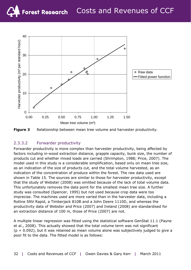

**Figure 3** Relationship between mean tree volume and harvester productivity.

#### 2.3.3.2 Forwarder productivity

Forwarder productivity is more complex than harvester productivity, being affected by factors including in-wood extraction distance, grapple capacity, bunk size, the number of products cut and whether mixed loads are carried (Shrimpton, 1988; Price, 2007). The model used in this study is a considerable simplification, based only on mean tree size, as an indication of the size of products cut, and the total volume harvested, as an indication of the concentration of produce within the forest. The raw data used are shown in Table 15. The sources are similar to those for harvester productivity, except that the study of Webster (2008) was omitted because of the lack of total volume data. This unfortunately removes the data point for the smallest mean tree size. A further study was consulted (Spencer, 1995) but not used because crop data were too imprecise. The machines used are more varied than in the harvester data, including a Rottne SNV Rapid, a Timberjack 810B and a John Deere 1110D, and whereas the productivity data of Webster and Price (2007) and Ireland (2008) are standardised for an extraction distance of 100 m, those of Price (2007) are not.

A multiple linear regression was fitted using the statistical software GenStat 11.1 (Payne *et al*., 2008). This actually showed that the total volume term was not significant  $(p = 0.092)$ , but it was retained as mean volume alone was subjectively judged to give a poor fit to the data. The fitted model is as follows: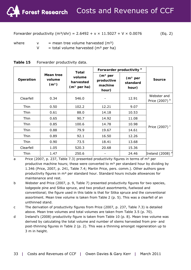Forwarder productivity  $(m^3/shr) = 2.6492 + v \times 11.5027 + V \times 0.0076$  (Eq. 2)

where  $v = \text{mean tree volume harvested (m}^3)$ 

 $V =$  total volume harvested (m<sup>3</sup> per ha)

|                                                       |      | Total                                |                                                        | Forwarder productivity <sup>a</sup>      |                               |  |
|-------------------------------------------------------|------|--------------------------------------|--------------------------------------------------------|------------------------------------------|-------------------------------|--|
| Mean tree<br>Operation<br>volume<br>(m <sup>3</sup> ) |      | volume<br>harvested<br>$(m3$ per ha) | (m <sup>3</sup> per)<br>productive<br>machine<br>hour) | (m <sup>3</sup> per<br>standard<br>hour) | <b>Source</b>                 |  |
| Clearfell                                             | 0.34 | 546.0                                |                                                        | 12.91                                    | Webster and<br>Price (2007) b |  |
| Thin                                                  | 0.50 | 102.2                                | 12.21                                                  | 9.07                                     |                               |  |
| Thin                                                  | 0.61 | 88.0                                 | 14.18                                                  | 10.53                                    |                               |  |
| Thin                                                  | 0.65 | 90.7                                 | 14.92                                                  | 11.08                                    |                               |  |
| Thin                                                  | 0.85 | 100.6                                | 14.78                                                  | 10.98                                    | Price (2007) <sup>c</sup>     |  |
| Thin                                                  | 0.88 | 79.9                                 | 19.67                                                  | 14.61                                    |                               |  |
| Thin                                                  | 0.89 | 92.1                                 | 16.50                                                  | 12.26                                    |                               |  |
| Thin                                                  | 0.90 | 73.5                                 | 18.41                                                  | 13.68                                    |                               |  |
| Clearfell                                             | 1.05 | 520.3                                | 20.68                                                  | 15.36                                    |                               |  |
| Thin                                                  | 1.47 | 250.6                                |                                                        | 24.46                                    | Ireland (2008) <sup>d</sup>   |  |

| Table 15 | Forwarder productivity data. |  |
|----------|------------------------------|--|
|----------|------------------------------|--|

a Price (2007, p. 237, Table 7.3) presented productivity figures in terms of  $m<sup>3</sup>$  per productive machine hours; these were converted to  $m<sup>3</sup>$  per standard hour by dividing by 1.346 (Price, 2007, p. 241, Table 7.4; Martin Price, pers. comm.). Other authors gave productivity figures in m<sup>3</sup> per standard hour. Standard hours include allowances for maintenance and rest.

- b Webster and Price (2007, p. 9, Table 7) presented productivity figures for two species, lodgepole pine and Sitka spruce, and two product assortments, fuelwood and conventional; the figure used in this table is that for Sitka spruce and the conventional assortment. Mean tree volume is taken from Table 2 (p. 5). This was a clearfell of an unthinned stand.
- c The derivation of productivity figures from Price (2007, p. 237, Table 7.3) is detailed above. Mean tree volumes and total volumes are taken from Table 3.5 (p. 70).
- d Ireland's (2008) productivity figure is taken from Table 10 (p. 8). Mean tree volume was derived by calculating the total volume and number of stems harvested from pre- and post-thinning figures in Table 2 (p. 2). This was a thinning amongst regeneration up to 3 m in height.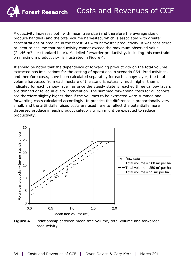Productivity increases both with mean tree size (and therefore the average size of produce handled) and the total volume harvested, which is associated with greater concentrations of produce in the forest. As with harvester productivity, it was considered prudent to assume that productivity cannot exceed the maximum observed value  $(24.46 \text{ m}^3 \text{ per standard hour})$ . Modelled forwarder productivity, including this constraint on maximum productivity, is illustrated in Figure 4.

It should be noted that the dependence of forwarding productivity on the total volume extracted has implications for the costing of operations in scenario SS4. Productivities, and therefore costs, have been calculated separately for each canopy layer; the total volume harvested from each hectare of the stand is naturally much higher than is indicated for each canopy layer, as once the steady state is reached three canopy layers are thinned or felled in every intervention. The summed forwarding costs for all cohorts are therefore slightly higher than if the volumes to be extracted were summed and forwarding costs calculated accordingly. In practice the difference is proportionally very small, and the artificially raised costs are used here to reflect the potentially more dispersed produce in each product category which might be expected to reduce productivity.



**Figure 4** Relationship between mean tree volume, total volume and forwarder productivity.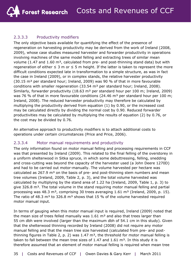#### 2.3.3.3 Productivity modifiers

The only objective basis available for quantifying the effect of the presence of regeneration on harvesting productivity may be derived from the work of Ireland (2008, 2009), whose case studies measured harvester and forwarder productivity in operations involving machines of the same model felling and extracting trees of similar mean volume (1.47 and 1.60  $m^3$ , calculated from pre- and post-thinning stand data) but with regeneration of either  $\leq 3$  m or  $\leq 5$  m height. If the latter is taken to represent the more difficult conditions expected late in transformation to a simple structure, as was in fact the case in Ireland (2009), or in complex stands, the relative harvester productivity (30.15 m<sup>3</sup> per standard hour; Ireland, 2009) was 90 % of that in more favourable conditions with smaller regeneration  $(33.54 \text{ m}^3 \text{ per standard hour}$ ; Ireland, 2008). Similarly, forwarder productivity (18.63  $m^3$  per standard hour per 100 m; Ireland, 2009) was 76 % of that in more favourable conditions (24.46  $\text{m}^3$  per standard hour per 100 m; Ireland, 2008). The reduced harvester productivity may therefore be calculated by multiplying the productivity derived from equation (1) by 0.90, or the increased cost may be calculated directly by dividing the normal cost by 0.90. Reduced forwarder productivities may be calculated by multiplying the results of equation (2) by 0.76, or the cost may be divided by 0.76.

An alternative approach to productivity modifiers is to attach additional costs to operations under certain circumstances (Price and Price, 2006).

#### 2.3.3.4 Motor manual requirements and productivity

The only information found on motor manual felling and processing requirements in CCF was that presented by Ireland (2009). This related to the final felling of the overstorey in a uniform shelterwood in Sitka spruce, in which some debuttressing, felling, snedding and cross-cutting was beyond the capacity of the harvester used (a John Deere 1270D) and had to be carried out motor-manually. The volume harvested per hectare was calculated as  $267.9$  m<sup>3</sup> on the basis of pre- and post-thinning stem numbers and mean tree volumes (Ireland, 2009, Table 2, p. 3), and the total volume harvested was calculated by multiplying by the stand area of 1.22 ha (Ireland, 2009, Table 1, p. 3) to give 326.8  $m<sup>3</sup>$ . The total volume in the stand requiring motor manual felling and partial processing was 48.3 m<sup>3</sup>, comprising 30 trees averaging 1.61 m<sup>3</sup> (Ireland, 2009, p. 15). The ratio of 48.3  $m<sup>3</sup>$  to 326.8  $m<sup>3</sup>$  shows that 15 % of the volume harvested required motor manual input.

In terms of gauging when this motor manual input is required, Ireland (2009) noted that the mean size of trees felled manually was  $1.61 \text{ m}^3$  and also that trees larger than 55 cm dbh were involved (larger than the maximum dbh of 54.1 cm in this study). Given that the shelterwood thinning recorded by Ireland (2008) did not require any motor manual felling and that the mean tree size harvested (calculated from pre- and postthinning figures in Table 2, p. 2) was  $1.47 \text{ m}^3$ , the threshold for motor manual felling is taken to fall between the mean tree sizes of 1.47 and 1.61  $m<sup>3</sup>$ . In this study it is therefore assumed that an element of motor manual felling is required when mean tree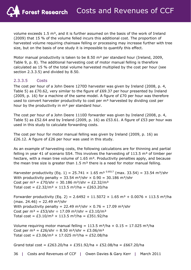volume exceeds  $1.5 \text{ m}^3$ , and it is further assumed on the basis of the work of Ireland (2009) that 15 % of the volume felled incurs this additional cost. The proportion of harvested volume requiring chainsaw felling or processing may increase further with tree size, but on the basis of one study it is impossible to quantify this effect.

Motor manual productivity is taken to be 8.50  $m<sup>3</sup>$  per standard hour (Ireland, 2009, Table 9, p. 8). The additional harvesting cost of motor manual felling is therefore calculated as 15 % of the total volume harvested multiplied by the cost per hour (see section 2.3.3.5) and divided by 8.50.

#### 2.3.3.5 Costs

The cost per hour of a John Deere 1270D harvester was given by Ireland (2008, p. 4, Table 5) as £70.62, very similar to the figure of £69.37 per hour presented by Ireland (2009, p. 16) for a machine of the same model. A figure of  $E70$  per hour was therefore used to convert harvester productivity to cost per  $m<sup>3</sup>$  harvested by dividing cost per hour by the productivity in  $m<sup>3</sup>$  per standard hour.

The cost per hour of a John Deere 1110D forwarder was given by Ireland (2008, p. 4, Table 5) as £52.64 and by Ireland (2009, p. 16) as £53.61. A figure of £53 per hour was used in this study to calculate forwarding costs.

The cost per hour for motor manual felling was given by Ireland (2009, p. 16) as £26.12. A figure of £26 per hour was used in this study.

As an example of harvesting costs, the following calculations are for thinning and partial felling in year 41 of scenario SS4. This involves the harvesting of 113.5  $m<sup>3</sup>$  of timber per hectare, with a mean tree volume of  $1.65 \text{ m}^3$ . Productivity penalties apply, and because the mean tree size is greater than  $1.5 \text{ m}^3$  there is a need for motor manual felling.

Harvester productivity (Eq. 1) = 25.741  $\times$  1.65 m<sup>3 0.8517</sup> (max. 33.54) = 33.54 m<sup>3</sup>/shr With productivity penalty =  $33.54 \text{ m}^3/\text{shr} \times 0.90 = 30.186 \text{ m}^3/\text{shr}$ Cost per  $m^3 = \frac{£70}{shr} \div 30.186 \ m^3/shr = \frac{£2.32}{m^3}$ Total cost = £2.32/m<sup>3</sup>  $\times$  113.5 m<sup>3</sup>/ha = £263.20/ha

Forwarder productivity (Eq. 2) = 2.6492 + 11.5072  $\times$  1.65 m<sup>3</sup> + 0.0076  $\times$  113.5 m<sup>3</sup>/ha  $(max. 24.46) = 22.49 \text{ m}^3/\text{shr}$ With productivity penalty = 22.49 m<sup>3</sup>/shr  $\times$  0.76 = 17.09 m<sup>3</sup>/shr Cost per  $m^3 = \frac{253}{\text{shr}} \div 17.09 \text{ m}^3/\text{shr} = \frac{23.10}{\text{m}^3}$ Total cost = £3.10/m<sup>3</sup>  $\times$  113.5 m<sup>3</sup>/ha = £351.92/ha

Volume requiring motor manual felling = 113.5 m<sup>3</sup>/ha  $\times$  0.15 = 17.025 m<sup>3</sup>/ha Cost per  $m^3 = \frac{26}{\text{shr}} \div 8.50 \text{ m}^3/\text{shr} = \frac{23.06}{\text{m}^3}$ Total cost = £3.06/m<sup>3</sup>  $\times$  17.025 m<sup>3</sup>/ha = £52.08/ha

Grand total cost = £263.20/ha + £351.92/ha + £52.08/ha = £667.20/ha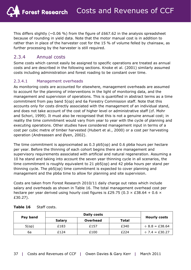This differs slightly ( $\sim$ 0.06 %) from the figure of £667.62 in the analysis spreadsheet because of rounding in yield data. Note that the motor manual cost is in addition to rather than in place of the harvester cost for the 15 % of volume felled by chainsaw, as further processing by the harvester is still required.

#### 2.3.4 Annual costs

Some costs which cannot easily be assigned to specific operations are treated as annual costs and are described in the following sections. Knoke *et al*. (2001) similarly assumed costs including administration and forest roading to be constant over time.

#### 2.3.4.1 Management overheads

As monitoring costs are accounted for elsewhere, management overheads are assumed to account for the planning of interventions in the light of monitoring data, and the management and supervision of operations. This is quantified in abstract terms as a time commitment from pay band 5(op) and 6a Forestry Commission staff. Note that this accounts only for costs directly associated with the management of an individual stand, and does not take account of the cost of higher level or administrative staff (cf. Mohr and Schori, 1999). It must also be recognised that this is not a genuine annual cost; in reality the time commitment would vary from year to year with the cycle of planning and executing operations. Other studies have considered management input in terms of a cost per cubic metre of timber harvested (Hubert *et al*., 2000) or a cost per harvesting operation (Andreassen and Øyen, 2002).

The time commitment is approximated as 0.3 pb5(op) and 0.6 pb6a hours per hectare per year. Before the thinning of each cohort begins there are management and supervisory requirements associated with artificial and natural regeneration. Assuming a 10 ha stand and taking into account the seven year thinning cycle in all scenarios, the time commitment is roughly equivalent to 21 pb5(op) and 42 pb6a hours per stand per thinning cycle. The pb5(op) time commitment is expected to cover planning and management and the pb6a time to allow for planning and site supervision.

Costs are taken from Forest Research 2010/11 daily charge out rates which include salary and overheads as shown in Table 16. The total management overhead cost per hectare per year derived using hourly cost figures is £29.75 (0.3  $\times$  £38.64 + 0.6  $\times$ £30.27).

| Pay band | <b>Salary</b> | Overhead | Total | <b>Hourly costs</b> |  |
|----------|---------------|----------|-------|---------------------|--|
| 5(op)    | £183          | £157     | £340  | $\div$ 8.8 = £38.64 |  |
| 6a       | £124          | £100     | £224  | $\div$ 7.4 = £30.27 |  |

| Table 16 | Staff costs. |
|----------|--------------|
|----------|--------------|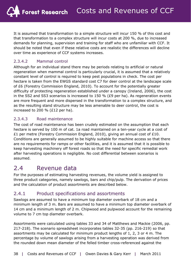It is assumed that transformation to a simple structure will incur 150 % of this cost and that transformation to a complex structure will incur costs at 200 %, due to increased demands for planning, supervision and training for staff who are unfamiliar with CCF. It should be noted that even if these relative costs are realistic the differences will decline over time as experience of CCF systems increases.

#### 2.3.4.2 Mammal control

Although for an individual stand there may be periods relating to artificial or natural regeneration when mammal control is particularly crucial, it is assumed that a relatively constant level of control is required to keep pest populations in check. The cost per hectare is taken from the EWGS standard cost C7 for deer control at the landscape scale of £6 (Forestry Commission England, 2010). To account for the potentially greater difficulty of protecting regeneration established under a canopy (Ireland, 2006), the cost in the SS2 and SS3 scenarios is increased to 150 % ( $E9$  per ha). As regeneration events are more frequent and more dispersed in the transformation to a complex structure, and as the resulting stand structure may be less amenable to deer control, the cost is increased to 200 % (£12 per ha).

#### 2.3.4.3 Road maintenance

The cost of road maintenance has been crudely estimated on the assumption that each hectare is served by 100 m of cat. 1a road maintained on a ten-year cycle at a cost of £1 per metre (Forestry Commission England, 2010), giving an annual cost of £10. Conditions are generally assumed to be highly suitable for machine access so that there are no requirements for ramps or other facilities, and it is assumed that it is possible to keep harvesting machinery off forest roads so that the need for specific remedial work after harvesting operations is negligible. No cost differential between scenarios is assumed.

### 2.4 Revenue data

For the purposes of estimating harvesting revenues, the volume yield is assigned to three product categories, namely sawlogs, bars and chip/pulp. The derivation of prices and the calculation of product assortments are described below.

#### 2.4.1 Product specifications and assortments

Sawlogs are assumed to have a minimum top diameter overbark of 18 cm and a minimum length of 3 m. Bars are assumed to have a minimum top diameter overbark of 14 cm and a minimum length of 2 m. Chipwood and pulpwood account for the remaining volume to 7 cm top diameter overbark.

Assortments were calculated using tables 33 and 34 of Matthews and Mackie (2006, pp. 217-218). The scenario spreadsheet incorporates tables 32-35 (pp. 216-219) so that assortments may be calculated for minimum product lengths of 1, 2, 3 or 4 m. The percentage by volume of sawlogs arising from a harvesting operation was derived from the rounded down mean diameter of the felled timber cross-referenced against the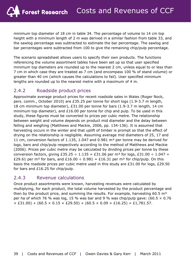minimum top diameter of 18 cm in table 34. The percentage of volume to 14 cm top height with a minimum length of 2 m was derived in a similar fashion from table 33, and the sawlog percentage was subtracted to estimate the bar percentage. The sawlog and bar percentages were subtracted from 100 to give the remaining chip/pulp percentage.

The scenario spreadsheet allows users to specify their own products. The functions referencing the volume assortment tables have been set up so that user specified minimum top diameters are rounded up to the nearest 2 cm, unless equal to or less than 7 cm in which case they are treated as 7 cm (and encompass 100 % of stand volume) or greater than 40 cm (which causes the calculations to fail). User specified minimum lengths are rounded up to the nearest metre with a maximum of 4 m.

#### 2.4.2 Roadside product prices

Approximate average product prices for recent roadside sales in Wales (Roger Nock, pers. comm., October 2010) are £35.25 per tonne for short logs (1.9-3.7 m length, 18 cm minimum top diameter), £31.00 per tonne for bars (1.9-3.7 m length, 14 cm minimum top diameter), and £16.00 per tonne for chip and pulp. To be used in this study, these figures must be converted to prices per cubic metre. The relationship between weight and volume depends on product mid diameter and the delay between felling and weighing (Matthews and Mackie, 2006, pp. 134-136). It is assumed that harvesting occurs in the winter and that uplift of timber is prompt so that the effect of drying on the relationship is negligible. Assuming average mid diameters of 25, 17 and 11 cm, conversion factors of 1.135, 1.047 and 0.981  $m<sup>3</sup>$  per tonne may be derived for logs, bars and chip/pulp respectively according to the method of Matthews and Mackie (2006). Prices per cubic metre may be calculated by dividing prices per tonne by these conversion factors, giving £35.25  $\div$  1.135 = £31.06 per m<sup>3</sup> for logs, £31.00  $\div$  1.047 = £29.61 per m<sup>3</sup> for bars, and £16.00  $\div$  0.981 = £16.31 per m<sup>3</sup> for chip/pulp. On this basis the roadside prices per cubic metre used in this study are £31.00 for logs, £29.50 for bars and £16.25 for chip/pulp.

#### 2.4.3 Revenue calculations

Once product assortments were known, harvesting revenues were calculated by multiplying, for each product, the total volume harvested by the product percentage and then by the product price, and summing the results. For example, harvesting  $60.5 \text{ m}^3$ per ha of which 76 % was log, 15 % was bar and 9 % was chip/pulp gave:  $(60.5 \times 0.76)$  $\times$  £31.00) + (60.5  $\times$  0.15  $\times$  £29.50) + (60.5  $\times$  0.09  $\times$  £16.25) = £1,781.57.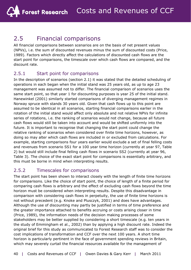### 2.5 Financial comparisons

All financial comparisons between scenarios are on the basis of net present values (NPVs), i.e. the sum of discounted revenues minus the sum of discounted costs (Price, 1989). Factors which directly affect the calculations of discounted cash flows are the start point for comparisons, the timescale over which cash flows are compared, and the discount rate.

#### 2.5.1 Start point for comparisons

In the description of scenarios (section 2.1) it was stated that the detailed scheduling of operations in each began when the initial stand was 25 years old, as up to age 23 management was assumed not to differ. The financial comparison of scenarios uses the same start point, so that year 1 for discounting purposes is year 25 of the initial stand. Hanewinkel (2001) similarly started comparisons of diverging management regimes in Norway spruce with stands 30 years old. Given that cash flows up to this point are assumed to be identical in all scenarios, starting financial comparisons earlier in the rotation of the initial stand would affect only absolute and not relative NPVs for infinite series of rotations, i.e. the ranking of scenarios would not change, because all future cash flows would still be taken into account and would be shifted uniformly into the future. It is important to recognise that changing the start point could change the relative ranking of scenarios when considered over finite time horizons, however, as doing so may alter which cash flows are included in or excluded from calculations. For example, starting comparisons four years earlier would exclude a set of final felling costs and revenues from scenario SS1 for a 100 year time horizon (currently at year 97, Table 2) but would still include final felling cash flows in scenario SS2 (currently at year 96, Table 3). The choice of the exact start point for comparisons is essentially arbitrary, and this must be borne in mind when interpreting results.

#### 2.5.2 Timescales for comparisons

The start point has been shown to interact closely with the length of finite time horizons for comparisons. Like the choice of start point, the choice of length of a finite period for comparing cash flows is arbitrary and the effect of excluding cash flows beyond the time horizon must be considered when interpreting results. Despite this disadvantage in comparison with considering cash flows in perpetuity, the use of finite time horizons is not without precedent (e.g. Knoke and Plusczyk, 2001) and does have advantages. Although the use of discounting may partly be justified in terms of time preference and the greater importance attached to benefits accruing or costs arising closer in time (Price, 1989), the information needs of the decision making processes of some stakeholders may be better supplied by considering a short timescale (e.g. ten years in the study of Emmingham *et al*., 2002) than by applying a high discount rate. Indeed the original brief for this study as communicated to Forest Research staff was to consider the cost implications of transformation and CCF over the next 100 years. A short time horizon is particularly pertinent in the face of government spending reviews in Britain, which may severely curtail the financial resources available for the management of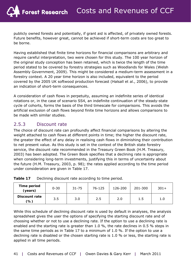publicly owned forests and potentially, if grant aid is affected, of privately owned forests. Future benefits, however great, cannot be achieved if short-term costs are too great to be borne.

Having established that finite time horizons for financial comparisons are arbitrary and require careful interpretation, two were chosen for this study. The 100 year horizon of the original study conception has been retained, which is twice the length of the time period stated to be covered by forestry strategies such as *Woodlands for Wales* (Welsh Assembly Government, 2009). This might be considered a medium-term assessment in a forestry context. A 20 year time horizon is also included, equivalent to the period covered by the 2005 UK softwood production forecast (Halsall *et al*., 2006), to provide an indication of short-term consequences.

A consideration of cash flows in perpetuity, assuming an indefinite series of identical rotations or, in the case of scenario SS4, an indefinite continuation of the steady-state cycle of cohorts, forms the basis of the third timescale for comparisons. This avoids the artificial exclusion of cash flows beyond finite time horizons and allows comparisons to be made with similar studies.

#### 2.5.3 Discount rate

The choice of discount rate can profoundly affect financial comparisons by altering the weight attached to cash flows at different points in time; the higher the discount rate, the greater the effect of any delay in realising cash flows in diminishing their contribution to net present value. As this study is set in the context of the British state forestry service, the discount rate recommended in the Treasury *Green Book* (H.M. Treasury, 2003) has been adopted. The *Green Book* specifies that a declining rate is appropriate when considering long-term investments, justifying this in terms of uncertainty about the future (H.M. Treasury, 2003, p. 98); the rates applied according to the time period under consideration are given in Table 17.

| Time period<br>(years)      | $0 - 30$ | $31 - 75$ | 76-125 | 126-200 | 201-300 | $301+$ |
|-----------------------------|----------|-----------|--------|---------|---------|--------|
| <b>Discount rate</b><br>(%) | 3.5      | 3.0       | 2.5    | 2.0     | 1.5     | 1.0    |

**Table 17** Declining discount rate according to time period.

While this schedule of declining discount rate is used by default in analyses, the analysis spreadsheet gives the user the options of specifying the starting discount rate and of choosing whether or not to use a declining rate. If the option to use a declining rate is enabled and the starting rate is greater than 1.0 %, the rate declines in 0.5 % steps in the same time periods as in Table 17 to a minimum of 1.0 %. If the option to use a declining rate is disabled or the chosen starting rate is 1.0 % or less, the starting rate is applied in all time periods.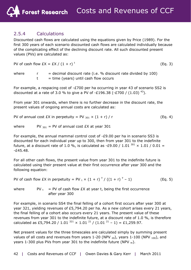#### 2.5.4 Calculations

Discounted cash flows are calculated using the equations given by Price (1989). For the first 300 years of each scenario discounted cash flows are calculated individually because of the complicating effect of the declining discount rate. All such discounted present values (PVs) are calculated as:

PV of cash flow  $EX = EX / (1 + r)^t$ (Eq. 3)

where  $r =$  decimal discount rate (i.e. % discount rate divided by 100)  $t =$  time (years) until cash flow occurs

For example, a respacing cost of -£700 per ha occurring in year 43 of scenario SS2 is discounted at a rate of 3.0 % to give a PV of  $-£196.38$  ( $-£700$  / (1.03)<sup>43</sup>).

From year 301 onwards, when there is no further decrease in the discount rate, the present values of ongoing annual costs are calculated as:

PV of annual cost  $EX$  in perpetuity = PV  $_{301} \times (1 + r) / r$  (Eq. 4)

where PV  $_{301}$  = PV of annual cost £X at year 301

For example, the annual mammal control cost of -£9.00 per ha in scenario SS3 is discounted for each individual year up to 300, then from year 301 to the indefinite future, at a discount rate of 1.0 %, is calculated as -£9.00 / 1.01  $^{301}$  x 1.01 / 0.01 =  $-645.48$ .

For all other cash flows, the present value from year 301 to the indefinite future is calculated using their present value at their first occurrence after year 300 and the following equation:

PV of cash flow  $EX$  in perpetuity = PV  $_t \times (1 + r)$   $\frac{7}{7}$  ( $(1 + r)$   $\frac{7}{7}$  $(Eq. 5)$ 

where  $PV_t = PV$  of cash flow  $EX$  at year *t*, being the first occurrence after year 300

For example, in scenario SS4 the final felling of a cohort first occurs after year 300 at year 321, yielding revenues of £5,794.20 per ha. As a new cohort arises every 21 years, the final felling of a cohort also occurs every 21 years. The present value of these revenues from year 301 to the indefinite future, at a discount rate of 1.0 %, is therefore calculated as £5,794.20 / 1.01  $^{321}$  × 1.01  $^{21}$  / (1.01  $^{21}$  – 1) = £1,259.97.

Net present values for the three timescales are calculated simply by summing present values of all costs and revenues from years 1-20 (NPV  $_{20}$ ), years 1-100 (NPV  $_{100}$ ), and years 1-300 plus PVs from year 301 to the indefinite future (NPV  $_{\infty}$ ).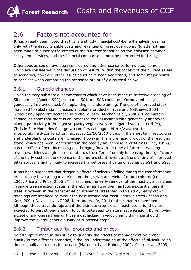### 2.6 Factors not accounted for

It has already been noted that this is a strictly financial cost-benefit analysis, dealing only with the direct tangible costs and revenues of forest operations. No attempt has been made to quantify the effects of the different scenarios on the provision of wider ecosystem services, and the financial comparisons must be interpreted in this light.

Other species could have been considered and other scenarios formulated, some of which are considered in the discussion of results. Within the context of the current series of scenarios, however, other issues could have been addressed, and some major points to consider when comparing the scenarios are briefly discussed below.

#### 2.6.1 Genetic changes

Given the very substantial commitments which have been made to selective breeding of Sitka spruce (Rook, 1992), scenarios SS1 and SS3 could be reformulated using genetically improved stock for replanting or underplanting. The use of improved stock may lead to substantial increases in volume production (Lee and Matthews, 2004) without any apparent decrease in timber quality (Mochan *et al*., 2008). Tree nursery catalogues show that there is an increased cost associated with genetically improved plants, particularly if the highest quality vegetatively propagated stock is used (e.g. Christie Elite Nurseries field grown conifers catalogue, http://www.christieelite.co.uk/Field-Conifers.html, accessed 13/10/2010); thus in the short term restocking and underplanting costs are increased. However, the more rapid growth of the resulting stand, which has been represented in the past by an increase in yield class (Lee, 1992), has the effect of both increasing and bringing forward in time all future harvesting revenues. Unless a high discount rate has the effect of unduly increasing the significance of the early costs at the expense of the more distant revenues, the planting of improved Sitka spruce is highly likely to increase the net present value of scenarios SS1 and SS3.

It has been suggested that dysgenic effects of selective felling during the transformation process may have a negative effect on the growth and yield of future cohorts (Price, 2003; Price and Price, 2006). This assumes the early removal of the most vigorous trees in single tree selection systems, thereby eliminating them as future potential parent trees. However, in the transformation scenarios presented in this study, early crown thinnings are intended to favour the best formed and most vigorous trees (Mason and Kerr, 2004; Davies *et al*., 2008; Kerr and Haufe, 2011) rather than remove them. Although these trees do represent the ultimate crop trees in each scenario, they are expected to persist long enough to contribute seed to natural regeneration. By removing exceptionally coarse trees or those most lacking in vigour, early thinnings should improve the overall genetic quality of successor crops.

#### 2.6.2 Timber quality, products and prices

No attempt is made in this study to quantify the effects of management on timber quality in the different scenarios, although understanding of the effects of silviculture on timber quality continues to increase (Macdonald and Hubert, 2002; Moore *et al*., 2009;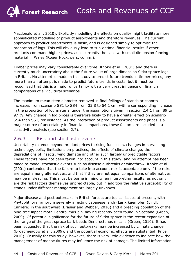Macdonald *et al*., 2010). Explicitly modelling the effects on quality might facilitate more sophisticated modelling of product assortments and therefore revenues. The current approach to product assortments is basic, and is designed simply to optimise the proportion of logs. This will obviously lead to sub-optimal financial results if other products command higher prices, as is currently the case with small dimension fencing material in Wales (Roger Nock, pers. comm.).

Timber prices may vary considerably over time (Knoke *et al*., 2001) and there is currently much uncertainty about the future value of large dimension Sitka spruce logs in Britain. No attempt is made in this study to predict future trends in timber prices, any more than an attempt is made to predict future trends in costs, but it must be recognised that this is a major uncertainty with a very great influence on financial comparisons of silvicultural scenarios.

The maximum mean stem diameter removed in final fellings of stands or cohorts increases from scenario SS1 to SS4 from 33.8 to 54.1 cm, with a corresponding increase in the proportion of log material under the assumptions given in section 2.4.1 from 89 to 97 %. Any change in log prices is therefore likely to have a greater effect on scenario SS4 than SS1, for instance. As the interaction of product assortments and prices is a major source of uncertainty in financial comparisons, these factors are included in a sensitivity analysis (see section 2.7).

#### 2.6.3 Risk and stochastic events

Uncertainty extends beyond product prices to rising fuel costs, changes in harvesting technology, policy limitations on practices, the effects of climate change, the depredations of insects, wind damage and other such largely unpredictable factors. These factors have not been taken into account in this study, and no attempt has been made to model stochastic events such as disease outbreaks or windthrow. Knoke *et al*. (2001) contended that the failure to take into account risk is acceptable only if the risks are equal among alternatives, and that if they are not equal comparisons of alternatives may be misleading. This must be borne in mind when interpreting results, as not only are the risk factors themselves unpredictable, but in addition the relative susceptibility of stands under different management are largely unknown.

Major disease and pest outbreaks in British forests are topical issues at present, with *Phytophthora ramorum* severely affecting Japanese larch (*Larix kaempferi* (Lindl.) Carrière) in the southwest (Brasier and Webber, 2010) and a breeding population of the pine-tree lappet moth *Dendrolimus pini* having recently been found in Scotland (Green, 2009). Of potential significance for the future of Sitka spruce is the recent expansion of the range of the great spruce bark beetle *Dendroctonus micans* (Green, 2010). It has been suggested that the risk of such outbreaks may be increased by climate change (Broadmeadow *et al*., 2009), and the potential economic effects are substantial (Price, 2010). Crucially for this study, however, there is very little evidence to indicate how the management of monocultures may influence the risk of damage. The limited information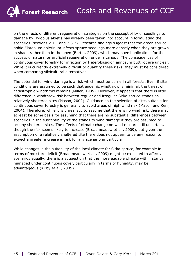on the effects of different regeneration strategies on the susceptibility of seedlings to damage by *Hylobius abietis* has already been taken into account in formulating the scenarios (sections 2.1.1 and 2.3.2). Research findings suggest that the green spruce aphid *Elatobium abietinum* infests spruce seedlings more densely when they are grown in shade rather than in the open (Bertin, 2009), which may have implications for the success of natural or artificial regeneration under a canopy. The consequences of continuous cover forestry for infection by *Heterobasidion annosum* butt rot are unclear. While it is currently extremely difficult to quantify these risks, they must be considered when comparing silvicultural alternatives.

The potential for wind damage is a risk which must be borne in all forests. Even if site conditions are assumed to be such that endemic windthrow is minimal, the threat of catastrophic windthrow remains (Miller, 1985). However, it appears that there is little difference in windthrow risk between regular and irregular Sitka spruce stands on relatively sheltered sites (Mason, 2002). Guidance on the selection of sites suitable for continuous cover forestry is generally to avoid areas of high wind risk (Mason and Kerr, 2004). Therefore, while it is unrealistic to assume that there is no wind risk, there may at least be some basis for assuming that there are no substantial differences between scenarios in the susceptibility of the stands to wind damage if they are assumed to occupy sheltered sites. The effects of climate change on wind risk are still uncertain, though the risk seems likely to increase (Broadmeadow *et al*., 2009), but given the assumption of a relatively sheltered site there does not appear to be any reason to expect a greater increase in risk for any scenario in particular.

While changes in the suitability of the local climate for Sitka spruce, for example in terms of moisture deficit (Broadmeadow *et al*., 2009) might be expected to affect all scenarios equally, there is a suggestion that the more equable climate within stands managed under continuous cover, particularly in terms of humidity, may be advantageous (Kirby *et al*., 2009).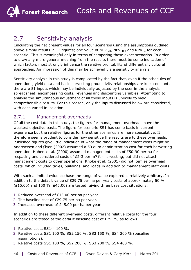### 2.7 Sensitivity analysis

Calculating the net present values for all four scenarios using the assumptions outlined above simply results in 12 figures; one value of NPV  $_{20}$ , NPV  $_{100}$  and NPV  $_{\infty}$  for each scenario. This is meaningful only in terms of comparing these exact scenarios. In order to draw any more general meaning from the results there must be some indication of which factors most strongly influence the relative profitability of different silvicultural approaches. An impression of this may be achieved via a sensitivity analysis.

Sensitivity analysis in this study is complicated by the fact that, even if the schedules of operations, yield data and basic harvesting productivity relationships are kept constant, there are 51 inputs which may be individually adjusted by the user in the analysis spreadsheet, encompassing costs, revenues and discounting variables. Attempting to analyse the simultaneous adjustment of all these inputs is unlikely to yield comprehensible results. For this reason, only the inputs discussed below are considered, with each varied in isolation.

#### 2.7.1 Management overheads

Of all the cost data in this study, the figures for management overheads have the weakest objective basis. The figure for scenario SS1 has some basis in current experience but the relative figures for the other scenarios are more speculative. It therefore seems prudent to consider how sensitive the results are to these overheads. Published figures give little indication of what the range of management costs might be. Andreassen and Øyen (2002) assumed a 50 euro administration cost for each harvesting operation. Hubert *et al*. (2000) assumed management costs of £50-90 per ha for respacing and considered costs of  $E2-3$  per m<sup>3</sup> for harvesting, but did not attach management costs to other operations. Knoke *et al*. (2001) did not itemise overhead costs, which included taxes, buildings, and roads in addition to management staff costs.

With such a limited evidence base the range of value explored is relatively arbitrary. In addition to the default value of £29.75 per ha per year, costs of approximately 50 % (£15.00) and 150 % (£45.00) are tested, giving three base cost situations:

- 1. Reduced overhead of £15.00 per ha per year.
- 2. The baseline cost of £29.75 per ha per year.
- 3. Increased overhead of £45.00 per ha per year.

In addition to these different overhead costs, different relative costs for the four scenarios are tested at the default baseline cost of £29.75, as follows:

- 1. Relative costs SS1-4 100 %.
- 2. Relative costs SS1 100 %, SS2 150 %, SS3 150 %, SS4 200 % (baseline assumptions).
- 3. Relative costs SS1 100 %, SS2 200 %, SS3 200 %, SS4 400 %.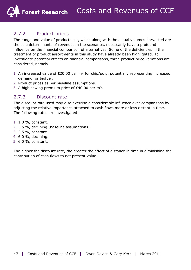#### 2.7.2 Product prices

The range and value of products cut, which along with the actual volumes harvested are the sole determinants of revenues in the scenarios, necessarily have a profound influence on the financial comparison of alternatives. Some of the deficiencies in the treatment of product assortments in this study have already been highlighted. To investigate potential effects on financial comparisons, three product price variations are considered, namely:

- 1. An increased value of  $£20.00$  per m<sup>3</sup> for chip/pulp, potentially representing increased demand for biofuel.
- 2. Product prices as per baseline assumptions.
- 3. A high sawlog premium price of  $£40.00$  per m<sup>3</sup>.

#### 2.7.3 Discount rate

The discount rate used may also exercise a considerable influence over comparisons by adjusting the relative importance attached to cash flows more or less distant in time. The following rates are investigated:

- 1. 1.0 %, constant.
- 2. 3.5 %, declining (baseline assumptions).
- 3. 3.5 %, constant.
- 4. 6.0 %, declining.
- 5. 6.0 %, constant.

The higher the discount rate, the greater the effect of distance in time in diminishing the contribution of cash flows to net present value.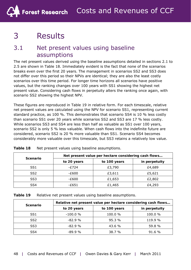# 3 Results

### 3.1 Net present values using baseline assumptions

The net present values derived using the baseline assumptions detailed in sections 2.1 to 2.5 are shown in Table 18. Immediately evident is the fact that none of the scenarios breaks even over the first 20 years. The management in scenarios SS2 and SS3 does not differ over this period so their NPVs are identical; they are also the least costly scenarios over this time period. For longer time horizons all scenarios have positive values, but the ranking changes over 100 years with SS1 showing the highest net present value. Considering cash flows in perpetuity alters the ranking once again, with scenario SS2 showing the highest NPV.

These figures are reproduced in Table 19 in relative form. For each timescale, relative net present values are calculated using the NPV for scenario SS1, representing current standard practice, as 100 %. This demonstrates that scenario SS4 is 10 % less costly than scenario SS1 over 20 years while scenarios SS2 and SS3 are 17 % less costly. While scenarios SS3 and SS4 are less than half as valuable as SS1 over 100 years, scenario SS2 is only 5 % less valuable. When cash flows into the indefinite future are considered, scenario SS2 is 20 % more valuable than SS1. Scenario SS4 becomes considerably more valuable over this timescale, but SS3 retains a relatively low value.

| Scenario        | Net present value per hectare considering cash flows |              |               |  |
|-----------------|------------------------------------------------------|--------------|---------------|--|
|                 | to 20 years                                          | to 100 years | in perpetuity |  |
| SS <sub>1</sub> | $-E724$                                              | £3,790       | £4,689        |  |
| SS <sub>2</sub> | $-E600$                                              | £3,611       | £5,621        |  |
| SS <sub>3</sub> | $-E600$                                              | £1,653       | £2,802        |  |
| SS4             | -£651                                                | £1,465       | £4,293        |  |

**Table 18** Net present values using baseline assumptions.

| <b>Scenario</b> | Relative net present value per hectare considering cash flows |              |               |  |
|-----------------|---------------------------------------------------------------|--------------|---------------|--|
|                 | to 20 years                                                   | to 100 years | in perpetuity |  |
| SS1             | $-100.0%$                                                     | 100.0 %      | 100.0 %       |  |
| SS <sub>2</sub> | $-82.9%$                                                      | 95.3 %       | 119.9 %       |  |
| SS <sub>3</sub> | $-82.9%$                                                      | 43.6 %       | 59.8 %        |  |
| SS4             | $-89.9\%$                                                     | 38.7 %       | 91.6 %        |  |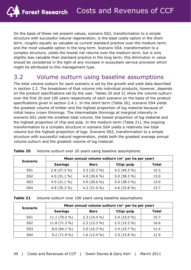On the basis of these net present values, scenario SS2, transformation to a simple structure with successful natural regeneration, is the least costly option in the short term, roughly equally as valuable as current standard practice over the medium term, and the most valuable option in the long term. Scenario SS4, transformation to a complex structure, yields the lowest net returns over the medium term, but is only slightly less valuable than standard practice in the long term; this diminution in value should be considered in the light of any increase in ecosystem service provision which might be attributed to this management type.

### 3.2 Volume outturn using baseline assumptions

The total volume outturn for each scenario is set by the growth and yield data described in section 2.2. The breakdown of that volume into individual products, however, depends on the product specifications set by the user. Tables 20 and 21 show the volume outturn over the first 20 and 100 years respectively of each scenario on the basis of the product specifications given in section 2.4.1. In the short term (Table 20), scenario SS4 yields the greatest volume of timber and the highest proportion of log material because of initial heavy crown thinnings. The intermediate thinnings at marginal intensity in scenario SS1 yield the smallest total volume, the lowest proportion of log material and the highest proportion of chip and pulp. In the medium term (Table 21), the ongoing transformation to a complex structure in scenario SS4 yields a relatively low total volume but the highest proportion of logs. Scenario SS2, transformation to a simple structure with successful natural regeneration, yields both the greatest average annual volume outturn and the greatest volume of log material.

| <b>Scenario</b> |                | Mean annual volume outturn (m <sup>3</sup> per ha per year) |                 |       |
|-----------------|----------------|-------------------------------------------------------------|-----------------|-------|
|                 | <b>Sawlogs</b> | <b>Bars</b>                                                 | Chip/pulp       | Total |
| SS <sub>1</sub> | $2.8(27.3\%)$  | $3.3(32.3\%)$                                               | 4.2 $(40.3\% )$ | 10.3  |
| SS <sub>2</sub> | 4.0 $(31.1\%)$ | 4.0 $(30.6 %)$                                              | 5.0 $(38.3\%)$  | 13.0  |
| SS <sub>3</sub> | 4.0 $(31.1 %$  | 4.0 $(30.6 %)$                                              | 5.0 $(38.3\%)$  | 13.0  |
| SS4             | 4.8 (35.3 %)   | 4.2 $(31.0 %)$                                              | 4.6 $(33.8\%)$  | 13.7  |

| Table 20 Volume outturn over 20 years using baseline assumptions. |
|-------------------------------------------------------------------|
|                                                                   |

| Table 21 | Volume outturn over 100 years using baseline assumptions. |
|----------|-----------------------------------------------------------|
|----------|-----------------------------------------------------------|

| <b>Scenario</b> | Mean annual volume outturn (m <sup>3</sup> per ha per year) |                |               |       |
|-----------------|-------------------------------------------------------------|----------------|---------------|-------|
|                 | <b>Sawlogs</b>                                              | <b>Bars</b>    | Chip/pulp     | Total |
| SS <sub>1</sub> | $11.1(70.5\%)$                                              | $2.3(14.4\%)$  | $2.4(15.0\%)$ | 15.7  |
| SS <sub>2</sub> | 11.8(71.3%)                                                 | $2.2(13.3\%)$  | $2.5(15.3\%)$ | 16.6  |
| SS <sub>3</sub> | $8.0(64.1\%)$                                               | $2.0(16.3\%)$  | 2.4(19.7%)    | 12.4  |
| SS <sub>4</sub> | $9.2(71.9\%)$                                               | 1.6 $(12.4\%)$ | $2.0(15.8\%)$ | 12.9  |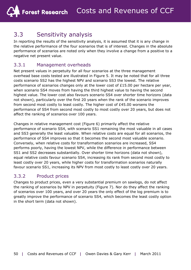### 3.3 Sensitivity analysis

In reporting the results of the sensitivity analysis, it is assumed that it is any change in the relative performance of the four scenarios that is of interest. Changes in the absolute performance of scenarios are noted only when they involve a change from a positive to a negative net present value.

#### 3.3.1 Management overheads

Net present values in perpetuity for all four scenarios at the three management overhead base costs tested are illustrated in Figure 5. It may be noted that for all three costs scenario SS2 has the highest NPV and scenario SS3 the lowest. The relative performance of scenarios changes only at the lower cost of £15.00 per hectare per year, when scenario SS4 moves from having the third highest value to having the second highest value. The lower cost also favours scenario SS4 over shorter time horizons (data not shown), particularly over the first 20 years when the rank of the scenario improves from second most costly to least costly. The higher cost of £45.00 worsens the performance of SS4 from second most costly to most costly over 20 years, but does not affect the ranking of scenarios over 100 years.

Changes in relative management cost (Figure 6) primarily affect the relative performance of scenario SS4, with scenario SS1 remaining the most valuable in all cases and SS3 generally the least valuable. When relative costs are equal for all scenarios, the performance of SS4 improves so that it becomes the second most valuable scenario. Conversely, when relative costs for transformation scenarios are increased, SS4 performs poorly, having the lowest NPV, while the difference in performance between SS1 and SS2 decreases substantially. Over shorter time horizons (data not shown), equal relative costs favour scenario SS4, increasing its rank from second most costly to least costly over 20 years, while higher costs for transformation scenarios naturally favour scenario SS1, increasing its NPV from most costly to least costly over 20 years.

#### 3.3.2 Product prices

Changes to product prices, even a very substantial premium on sawlogs, do not affect the ranking of scenarios by NPV in perpetuity (Figure 7). Nor do they affect the ranking of scenarios over 100 years, and over 20 years the only effect of the log premium is to greatly improve the performance of scenario SS4, which becomes the least costly option in the short term (data not shown).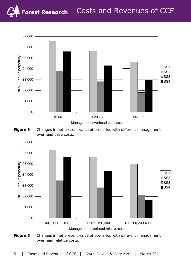





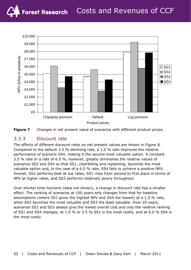

**Figure 7** Changes in net present value of scenarios with different product prices.

#### 3.3.3 Discount rate

The effects of different discount rates on net present values are shown in Figure 8. Compared to the default 3.5 % declining rate, a 1.0 % rate improves the relative performance of scenario SS4, making it the second most valuable option. A constant 3.5 % rate or a rate of 6.0 %, however, greatly diminishes the relative values of scenarios SS2 and SS4 so that SS1, clearfelling and replanting, becomes the most valuable option and, in the case of a 6.0 % rate, SS4 fails to achieve a positive NPV. Overall, SS2 performs best at low rates, SS1 rises from second to first place in terms of NPV at higher rates, and SS3 performs relatively poorly throughout.

Over shorter time horizons (data not shown), a change in discount rate has a smaller effect. The ranking of scenarios at 100 years only changes from that for baseline assumptions (where SS1 gives the highest NPV and SS4 the lowest) at a 1.0 % rate, when SS2 becomes the most valuable and SS3 the least valuable. Over 20 years, scenarios SS2 and SS3 always give the lowest overall cost and only the relative ranking of SS1 and SS4 changes; at 1.0 % or 3.5 % SS1 is the most costly, and at 6.0 % SS4 is the most costly.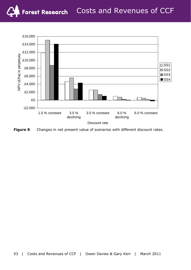

**Figure 8** Changes in net present value of scenarios with different discount rates.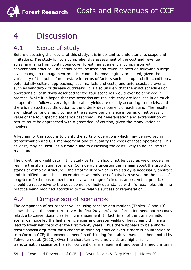# 4 Discussion

### 4.1 Scope of study

Before discussing the results of this study, it is important to understand its scope and limitations. The study is not a comprehensive assessment of the cost and revenue streams arising from continuous cover forest management in comparison with conventional practice. The actual costs incurred and revenues accrued following a largescale change in management practice cannot be meaningfully predicted, given the variability of the public forest estate in terms of factors such as crop and site conditions, potential silvicultural approaches, local markets and costs, and unforecastable events such as windthrow or disease outbreaks. It is also unlikely that the exact schedules of operations or cash flows described for the four scenarios would ever be achieved in practice. While it is hoped that the scenarios are realistic, they are idealised in as much as operations follow a very rigid timetable, yields are exactly according to models, and there is no stochastic disruption to the orderly development of each stand. The results are indicative, and simply compare the relative performance in terms of net present value of the four specific scenarios described. The generalisation and extrapolation of results must be approached with a great deal of caution, given the many variables involved.

A key aim of this study is to clarify the sorts of operations which may be involved in transformation and CCF management and to quantify the costs of those operations. This, at least, may be useful as a broad guide to assessing the costs likely to be incurred in real stands.

The growth and yield data in this study certainly should not be used as yield models for real life transformation scenarios. Considerable uncertainties remain about the growth of stands of complex structure – the treatment of which in this study is necessarily abstract and simplified – and these uncertainties will only be definitively resolved on the basis of long-term field measurements under a wide range of circumstances. Actual practice should be responsive to the development of individual stands with, for example, thinning practice being modified according to the relative success of regeneration.

### 4.2 Comparison of scenarios

The comparison of net present values using baseline assumptions (Tables 18 and 19) shows that, in the short term (over the first 20 years), transformation need not be costly relative to conventional clearfelling management. In fact, in all of the transformation scenarios modelled the higher efficiencies and greater yields of heavy early thinnings lead to lower net costs over the first twenty years. Thus there appears to be a shortterm financial argument for a change in thinning practice even if there is no intention to transform to CCF; the economic benefits of thinning from above have also been noted by Tahvonen *et al*. (2010). Over the short term, volume yields are higher for all transformation scenarios than for conventional management, and over the medium term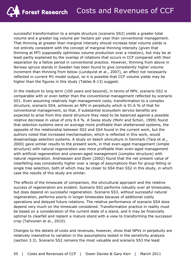successful transformation to a simple structure (scenario SS2) yields a greater total volume and a greater log volume per hectare per year than conventional management. That thinning at greater than marginal intensity should increase total volume yields is not entirely consistent with the concept of marginal thinning intensity (given that thinning at MTI supposedly optimises volume production over a rotation), but may be at least partly explained by the overlap of rotations that occurs in CCF compared with their separation by a fallow period in conventional practice. However, thinning from above in Norway spruce stands in Sweden has been found to give consistently higher volume increment than thinning from below (Lundqvist *et al*., 2007), an effect not necessarily reflected in current M1 model output, so it is possible that CCF volume yields may be higher than the figures in this study (Tables 8-13) suggest.

In the medium to long term (100 years and beyond), in terms of NPV, scenario SS2 is comparable with or even better than the conventional management reflected by scenario SS1. Even assuming relatively high management costs, transformation to a complex structure, scenario SS4, achieves an NPV in perpetuity which is 91.6 % of that for conventional management, so that, if substantial ecosystem service benefits are expected to arise from this stand structure they need to be balanced against a possible relative decrease in value of only 8.4 %. A Swiss study (Mohr and Schori, 1999) found that selection systems were on average more profitable than shelterwood systems, the opposite of the relationship between SS2 and SS4 found in the current work, but the authors noted that increased mechanisation, which is reflected in this work, would disadvantage selection systems. A study on beech silviculture in Denmark (Tarp *et al*., 2000) gave similar results to the present work, in that even-aged management (simple structure) with natural regeneration was more profitable than even-aged management with artificial regeneration and uneven-aged management (complex structure) with natural regeneration. Andreassen and Øyen (2002) found that the net present value of clearfelling was consistently higher over a range of assumptions than for group felling or single tree selection, both of which may be closer to SS4 than SS2 in this study, in which case the results of this study are similar.

The effects of the timescale of comparison, the silvicultural approach and the relative success of regeneration are evident. Scenario SS2 performs robustly over all timescales, but does depend on successful regeneration. Scenario SS3, without successful natural regeneration, performs poorly in longer timescales because of additional costly operations and delayed future rotations. The relative performance of scenario SS4 does depend very much on the timescale considered. Transformation practice in reality must be based on a consideration of the current state of a stand, and it may be financially optimal to clearfell and replant a mature stand with a view to transforming the successor crop (Tahvonen *et al*., 2010).

Changes to the details of costs and revenues, however, show that NPVs in perpetuity are relatively insensitive to variation in the assumptions tested in the sensitivity analysis (section 3.3). Scenario SS2 remains the most valuable and scenario SS3 the least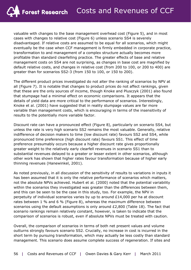valuable with changes to the base management overhead cost (Figure 5), and in most cases with changes to relative cost (Figure 6) unless scenario SS4 is severely disadvantaged. If relative costs are assumed to be equal for all scenarios, which might eventually be the case when CCF management is firmly embedded in corporate practice, transformation to and management of a complex structure actually becomes more profitable than standard clearfelling practice. The greater effects of base and relative management costs on SS4 are not surprising, as changes in base cost are magnified by default relative costs, and changes in relative cost (from 200 to 100, or 200 to 400) are greater than for scenarios SS2-3 (from 150 to 100, or 150 to 200).

The different product prices investigated do not alter the ranking of scenarios by NPV at all (Figure 7). It is notable that changes to product prices do not affect rankings, given that these are the only sources of income, though Knoke and Plusczyk (2001) also found that stumpage had a minimal effect on economic comparisons. It appears that the details of yield data are more critical to the performance of scenarios. Interestingly, Knoke *et al*. (2001) have suggested that in reality stumpage values are far more variable than management costs, which is encouraging in terms of the insensitivity of results to the potentially more variable factor.

Discount rate can have a pronounced effect (Figure 8), particularly on scenario SS4, but unless the rate is very high scenario SS2 remains the most valuable. Generally, relative indifference of decision makers to time (low discount rate) favours SS2 and SS4, while pronounced time preference (high discount rate) favours SS1. This effect of time preference presumably occurs because a higher discount rate gives proportionally greater weight to the relatively early clearfell revenues in scenario SS1 than to substantial revenues delayed to a greater or lesser extent in other scenarios, although other work has shown that higher rates favour transformation because of higher early thinning revenues (Hanewinkel, 2001).

As noted previously, in all discussion of the sensitivity of results to variations in inputs it has been assumed that it is only the relative performance of scenarios which matters, not the absolute NPVs achieved. Hubert *et al*. (2000) noted that the potential variability within the scenarios they investigated was greater than the differences between them, and this can be seen to be the case in this study, too. For example, the NPV in perpetuity of individual scenarios varies by up to around £14,000 per ha at discount rates between 1 % and 6 % (Figure 8), whereas the maximum difference between scenarios using the default assumptions is only around £2,800 (Table 18). The fact that scenario rankings remain relatively constant, however, is taken to indicate that the comparison of scenarios is robust, even if absolute NPVs must be treated with caution.

Overall, the comparison of scenarios in terms of both net present values and volume outturns strongly favours scenario SS2. Crucially, no increase in cost is incurred in the short term by pursuing transformation, which may actually be less costly than standard management. This scenario does assume complete success of regeneration. If sites and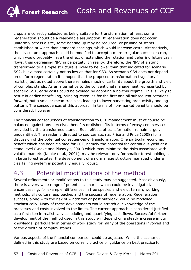crops are correctly selected as being suitable for transformation, at least some regeneration should be a reasonable assumption. If regeneration does not occur uniformly across a site, some beating up may be required, or pruning of stems established at wider than standard spacings, which would increase costs. Alternatively, the silvicultural approach could be modified to accept a more irregular successor crop, which would probably have the effect of extending the rotation and deferring future cash flows, thus decreasing NPV in perpetuity. In reality, therefore, the NPV of a stand transformed to a simple structure is likely to be lower than that indicated for scenario SS2, but almost certainly not as low as that for SS3. As scenario SS4 does not depend on uniform regeneration it is hoped that the proposed transformation trajectory is realistic, but as noted above there remains much uncertainty about the growth and yield of complex stands. As an alternative to the conventional management represented by scenario SS1, early costs could be avoided by adopting a no-thin regime. This is likely to result in earlier clearfelling, bringing revenues for the first and all subsequent rotations forward, but a smaller mean tree size, leading to lower harvesting productivity and log outturn. The consequences of this approach in terms of non-market benefits should be considered, however.

The financial consequences of transformation to CCF management must of course be balanced against any perceived benefits or disbenefits in terms of ecosystem services provided by the transformed stands. Such effects of transformation remain largely unquantified. The reader is directed to sources such as Price and Price (2008) for a discussion of the potential consequences of transformation. One particular economic benefit which has been claimed for CCF, namely the potential for continuous yield at a stand level (Knoke and Plusczyk, 2001) which may minimise the risks associated with volatile markets (Knoke *et al*., 2001), may be relevant only for smaller forest holdings; in large forest estates, the development of a normal age structure managed under a clearfelling system is potentially equally robust.

### 4.3 Potential modifications of the method

Several refinements or modifications to this study may be suggested. Most obviously, there is a very wide range of potential scenarios which could be investigated, encompassing, for example, differences in tree species and yield, terrain, working methods, silvicultural approaches and the success of regeneration. Regeneration success, along with the risk of windthrow or pest outbreak, could be modelled stochastically. Many of these developments would stretch our knowledge of the processes and costs involved to the limits. The current approach is considered justified as a first step in realistically scheduling and quantifying cash flows. Successful further development of the method used in this study will depend on a steady increase in our knowledge, particularly in terms of work study for many of the operations involved and of the growth of complex stands.

Various aspects of the financial comparison could be adjusted. While the scenarios defined in this study are based on current practice or guidance on best practice for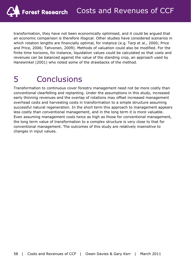transformation, they have not been economically optimised, and it could be argued that an economic comparison is therefore illogical. Other studies have considered scenarios in which rotation lengths are financially optimal, for instance (e.g. Tarp *et al*., 2000; Price and Price, 2006; Tahvonen, 2009). Methods of valuation could also be modified. For the finite time horizons, for instance, liquidation values could be calculated so that costs and revenues can be balanced against the value of the standing crop, an approach used by Hanewinkel (2001) who noted some of the drawbacks of the method.

# 5 Conclusions

Transformation to continuous cover forestry management need not be more costly than conventional clearfelling and replanting. Under the assumptions in this study, increased early thinning revenues and the overlap of rotations may offset increased management overhead costs and harvesting costs in transformation to a simple structure assuming successful natural regeneration. In the short term this approach to management appears less costly than conventional management, and in the long term it is more valuable. Even assuming management costs twice as high as those for conventional management, the long term value of transformation to a complex structure is very close to that for conventional management. The outcomes of this study are relatively insensitive to changes in input values.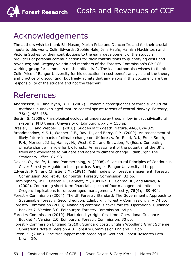# Acknowledgements

The authors wish to thank Bill Mason, Martin Price and Duncan Ireland for their crucial inputs to this work; Colin Edwards, Sophie Hale, Jens Haufe, Hamish Mackintosh and Victoria Stokes for their contributions to the early development of the study; all providers of personal communications for their contributions to quantifying costs and revenues; and Gregory Valatin and members of the Forestry Commission's GB CCF working group for comments on the initial draft. The lead author also wishes to thank Colin Price of Bangor University for his education in cost benefit analysis and the theory and practice of discounting, but freely admits that any errors in this document are the responsibility of the student and not the teacher!

# References

- Andreassen, K., and Øyen, B.-H. (2002). Economic consequences of three silvicultural methods in uneven-aged mature coastal spruce forests of central Norway. *Forestry*, **75**(4), 483-488.
- Bertin, S. (2009). *Physiological ecology of understorey trees in low impact silvicultural systems*. PhD thesis, University of Edinburgh. xxiv + 150 pp.
- Brasier, C., and Webber, J. (2010). Sudden larch death. *Nature*, **466**, 824-825.
- Broadmeadow, M.S.J., Webber, J.F., Ray, D., and Berry, P.M. (2009). An assessment of likely future impacts of climate change on UK forests. In: Read, D.J., Freer-Smith, P.H., Morison, J.I.L., Hanley, N., West, C.C., and Snowdon, P. (Eds.). *Combating climate change – a role for UK forests. An assessment of the potential of the UK's trees and woodlands to mitigate and adapt to climate change*. Edinburgh: The Stationery Office, 67-98.
- Davies, O., Haufe, J., and Pommerening, A. (2008). *Silvicultural Principles of Continuous Cover Forestry: A guide to best practice*. Bangor: Bangor University. 111 pp.
- Edwards, P.N., and Christie, J.M. (1981). Yield models for forest management. *Forestry Commission Booklet 48*. Edinburgh: Forestry Commission. 32 pp.
- Emmingham, W.L., Oester, P., Bennett, M., Kukulka, F., Conrad, K., and Michel, A. (2002). Comparing short-term financial aspects of four management options in Oregon: implications for uneven-aged management. *Forestry*, **75**(4), 489-494.
- Forestry Commission (2004). *The UK Forestry Standard: The Government's Approach to Sustainable Forestry*. Second edition. Edinburgh: Forestry Commission. vi + 74 pp.
- Forestry Commission (2008). Managing continuous cover forests. *Operational Guidance Booklet 7*. Version 3.0. Edinburgh: Forestry Commission. 64 pp.
- Forestry Commission (2010). Plant density: right first time. *Operational Guidance Booklet 4*. Version 2.0. Edinburgh: Forestry Commission. 30 pp.
- Forestry Commission England (2010). Standard costs. *English Woodland Grant Scheme Operations Note 9*. Version 4.0. Forestry Commission England. 13 pp.
- Green, S. (2009). Pine-tree lappet moth breeding in Scotland. *Forest Research Path News*, **19**.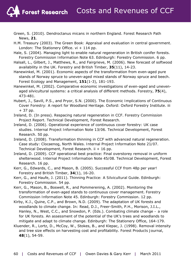Green, S. (2010). *Dendroctanus micans* in northern England. *Forest Research Path News*, **21**.

H.M. Treasury (2003). *The Green Book: Appraisal and evaluation in central government*. London: The Stationery Office.  $vi + 114$  pp.

- Hale, S. (2004). Managing light to enable natural regeneration in British conifer forests. *Forestry Commission Information Note 63*. Edinburgh: Forestry Commission. 6 pp.
- Halsall, L., Gilbert, J., Matthews, R., and Fairgrieve, M. (2006). New forecast of softwood availability in the UK. *Forestry and British Timber*, **35**(11), 14-23.
- Hanewinkel, M. (2001). Economic aspects of the transformation from even-aged pure stands of Norway spruce to uneven-aged mixed stands of Norway spruce and beech. *Forest Ecology and Management*, **151**(1-3), 181-193.
- Hanewinkel, M. (2002). Comparative economic investigations of even-aged and unevenaged silvicultural systems: a critical analysis of different methods. *Forestry*, **75**(4), 473-481.
- Hubert, J., Savill, P.S., and Pryor, S.N. (2000). *The Economic Implications of Continuous Cover Forestry: A report for Woodland Heritage*. Oxford: Oxford Forestry Institute. iii + 37 pp.
- Ireland, D. (In press). Respacing natural regeneration in CCF. *Forestry Commission Project Report*. Technical Development, Forest Research.
- Ireland, D. (2006). Operational experience of continuous cover forestry: UK case studies. *Internal Project Information Note 13/06*. Technical Development, Forest Research. 50 pp.
- Ireland, D. (2008). Transformation thinning in CCF with advanced natural regeneration. Case study: Clocaenog, North Wales. *Internal Project Information Note 21/07*. Technical Development, Forest Research. ii + 16 pp.
- Ireland, D. (2009). CCF operational best practice: Final overstorey removal in uniform shelterwood. *Internal Project Information Note 45/08*. Technical Development, Forest Research. 16 pp.
- Kerr, G., Edwards, C., and Mason, B. (2005). Successful CCF from 48p per year! *Forestry and British Timber*, **34**(1), 16-20.
- Kerr, G., and Haufe, J. (2011). *Thinning Practice: A Silvicultural Guide*. Edinburgh: Forestry Commission. 54 pp.
- Kerr, G., Mason, B., Boswell, R., and Pommerening, A. (2002). Monitoring the transformation of even-aged stands to continuous cover management. *Forestry Commission Information Note 45*. Edinburgh: Forestry Commission. 12 pp.
- Kirby, K.J., Quine, C.P., and Brown, N.D. (2009). The adaptation of UK forests and woodlands to climate change. In: Read, D.J., Freer-Smith, P.H., Morison, J.I.L., Hanley, N., West, C.C., and Snowdon, P. (Eds.). *Combating climate change – a role for UK forests. An assessment of the potential of the UK's trees and woodlands to mitigate and adapt to climate change*. Edinburgh: The Stationery Office, 164-179.
- Kluender, R., Lortz, D., McCoy, W., Stokes, B., and Klepac, J. (1998). Removal intensity and tree size effects on harvesting cost and profitability. *Forest Products Journal*, **48**(1), 54-59.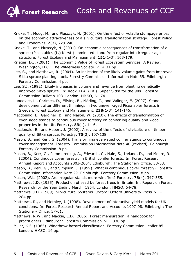- Knoke, T., Moog, M., and Plusczyk, N. (2001). On the effect of volatile stumpage prices on the economic attractiveness of a silvicultural transformation strategy. *Forest Policy and Economics*, **2**(3), 229-240.
- Knoke, T., and Plusczyk, N. (2001). On economic consequences of transformation of a spruce (*Picea abies* (L.) Karst.) dominated stand from regular into irregular age structure. *Forest Ecology and Management*, **151**(1-3), 163-179.
- Krieger, D.J. (2001). *The Economic Value of Forest Ecosystem Services: A Review*. Washington, D.C.: The Wilderness Society. vii + 31 pp.
- Lee, S., and Matthews, R. (2004). An indication of the likely volume gains from improved Sitka spruce planting stock. *Forestry Commission Information Note 55*. Edinburgh: Forestry Commission. 4 pp.
- Lee, S.J. (1992). Likely increases in volume and revenue from planting genetically improved Sitka spruce. In: Rook, D.A. (Ed.). Super Sitka for the 90s. *Forestry Commission Bulletin 103*. London: HMSO, 61-74.
- Lundqvist, L., Chrimes, D., Elfving, B., Mörling, T., and Valinger, E. (2007). Stand development after different thinnings in two uneven-aged *Picea abies* forests in Sweden. *Forest Ecology and Management*, **238**(1-3), 141-146.
- Macdonald, E., Gardiner, B., and Mason, W. (2010). The effects of transformation of even-aged stands to continuous cover forestry on conifer log quality and wood properties in the UK. *Forestry*, **83**(1), 1-16.
- Macdonald, E., and Hubert, J. (2002). A review of the effects of silviculture on timber quality of Sitka spruce. *Forestry*, **75**(2), 107-138.
- Mason, B., and Kerr, G. (2004). Transforming even-aged conifer stands to continuous cover management. *Forestry Commission Information Note 40 (revised)*. Edinburgh: Forestry Commission. 8 pp.
- Mason, B., Kerr, G., Pommerening, A., Edwards, C., Hale, S., Ireland, D., and Moore, R. (2004). Continuous cover forestry in British conifer forests. In: *Forest Research Annual Report and Accounts 2003-2004*. Edinburgh: The Stationery Office, 38-53.
- Mason, B., Kerr, G., and Simpson, J. (1999). What is continuous cover forestry? *Forestry Commission Information Note 29*. Edinburgh: Forestry Commission. 8 pp.
- Mason, W.L. (2002). Are irregular stands more windfirm? *Forestry*, **75**(4), 347-355.
- Matthews, J.D. (1955). Production of seed by forest trees in Britain. In: *Report on Forest Research for the Year Ending March, 1954*. London: HMSO, 64-78.
- Matthews, J.D. (1989). *Silvicultural Systems*. Oxford: Oxford University Press. xii + 284 pp.
- Matthews, R., and Methley, J. (1998). Development of interactive yield models for UK conditions. In: *Forest Research Annual Report and Accounts 1997-98*. Edinburgh: The Stationery Office, 57-61.
- Matthews, R.W., and Mackie, E.D. (2006). *Forest mensuration: a handbook for practitioners*. Edinburgh: Forestry Commission. vi + 330 pp.
- Miller, K.F. (1985). Windthrow hazard classification. *Forestry Commission Leaflet 85*. London: HMSO. 14 pp.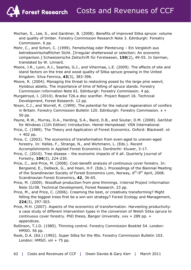- Mochan, S., Lee, S., and Gardiner, B. (2008). Benefits of improved Sitka spruce: volume and quality of timber. *Forestry Commission Research Note 3*. Edinburgh: Forestry Commission. 6 pp.
- Mohr, C., and Schori, C. (1999). Femelschlag oder Plenterung Ein Vergleich aus betriebswirtschaftlicher Sicht. [Irregular shelterwood or selection: An economic comparison.] *Schweizerische Zeitschrift für Forstwesen*, **150**(2), 49-55. In German, translated by W. Linnard.
- Moore, J.R., Lyon, A.J., Searles, G.J., and Vihermaa, L.E. (2009). The effects of site and stand factors on the tree and wood quality of Sitka spruce growing in the United Kingdom. *Silva Fennica*, **43**(3), 383-396.
- Moore, R. (2004). Managing the threat to restocking posed by the large pine weevil, *Hylobius abietis*. The importance of time of felling of spruce stands. *Forestry Commission Information Note 61*. Edinburgh: Forestry Commission. 4 pp.
- Murgatroyd, I. (2010). Bracke T26.a disc scarifier. *Project Report 16*. Technical Development, Forest Research. 12 pp.
- Nixon, C.J., and Worrell, R. (1999). The potential for the natural regeneration of conifers in Britain. *Forestry Commission Bulletin 120*. Edinburgh: Forestry Commission. x + 50 pp.
- Payne, R.W., Murray, D.A., Harding, S.A., Baird, D.B., and Soutar, D.M. (2008). *GenStat for Windows (11th Edition) Introduction*. Hemel Hempstead: VSN International.
- Price, C. (1989). *The Theory and Application of Forest Economics*. Oxford: Blackwell. xii + 402 pp.
- Price, C. (2003). The economics of transformation from even-aged to uneven-aged forestry. In: Helles, F., Strange, N., and Wichmann, L. (Eds.). *Recent Accomplishments in Applied Forest Economics*. Dordrecht: Kluwer, 3-17.
- Price, C. (2010). Tree disease the economic impacts of it all. *Quarterly Journal of Forestry*, **104**(3), 224-230.
- Price, C., and Price, M. (2008). Cost-benefit analysis of continuous cover forestry. In: Bergsend, E., Delbeck, G., and Hoen, H.F. (Eds.). Proceedings of the Biennial Meeting of the Scandinavian Society of Forest Economics Lom, Norway,  $6<sup>th</sup>-9<sup>th</sup>$  April, 2008. *Scandinavian Forest Economics*, **42**, 36-65.
- Price, M. (2009). Woodfuel production from pine thinnings. *Internal Project Information Note 31/08*. Technical Development, Forest Research. 23 pp.
- Price, M., and Price, C. (2006). Creaming the best, or creatively transforming? Might felling the biggest trees first be a win-win strategy? *Forest Ecology and Management*, **224**(3), 297-303.
- Price, M.H. (2007). *Aspects of the economics of transformation. Harvesting productivity: a case study of different intervention types in the conversion of Welsh Sitka spruce to continuous cover forestry*. PhD thesis, Bangor University. xxx + 289 pp. + appendices.
- Rollinson, T.J.D. (1985). Thinning control. *Forestry Commission Booklet 54*. London: HMSO. 56 pp.
- Rook, D.A. (Ed.) (1992). Super Sitka for the 90s. *Forestry Commission Bulletin 103*. London: HMSO. xiii + 75 pp.